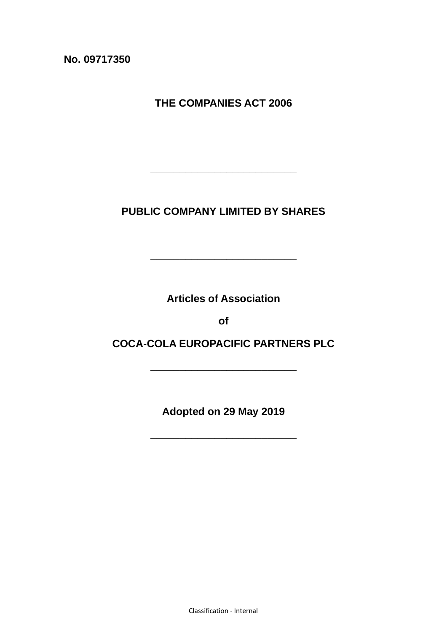**No. 09717350**

**THE COMPANIES ACT 2006**

**PUBLIC COMPANY LIMITED BY SHARES**

**\_\_\_\_\_\_\_\_\_\_\_\_\_\_\_\_\_\_\_\_\_\_\_\_\_**

**\_\_\_\_\_\_\_\_\_\_\_\_\_\_\_\_\_\_\_\_\_\_\_\_\_**

**Articles of Association** 

**of**

**COCA-COLA EUROPACIFIC PARTNERS PLC**

**\_\_\_\_\_\_\_\_\_\_\_\_\_\_\_\_\_\_\_\_\_\_\_\_\_**

**Adopted on 29 May 2019**

**\_\_\_\_\_\_\_\_\_\_\_\_\_\_\_\_\_\_\_\_\_\_\_\_\_**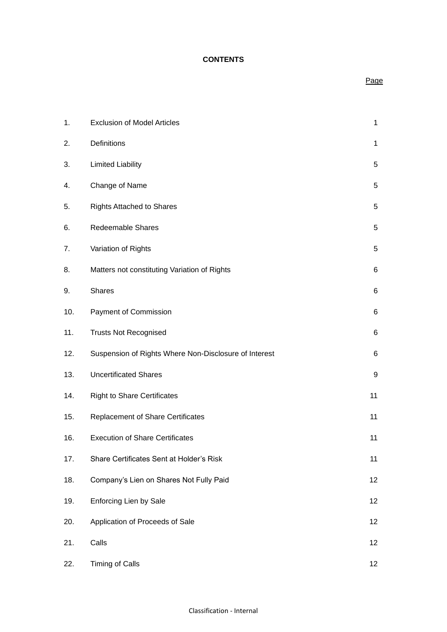#### **CONTENTS**

## Page

| 1.  | <b>Exclusion of Model Articles</b>                    | $\mathbf{1}$ |
|-----|-------------------------------------------------------|--------------|
| 2.  | Definitions                                           | $\mathbf{1}$ |
| 3.  | <b>Limited Liability</b>                              | 5            |
| 4.  | Change of Name                                        | 5            |
| 5.  | <b>Rights Attached to Shares</b>                      | 5            |
| 6.  | <b>Redeemable Shares</b>                              | 5            |
| 7.  | Variation of Rights                                   | 5            |
| 8.  | Matters not constituting Variation of Rights          | 6            |
| 9.  | <b>Shares</b>                                         | 6            |
| 10. | Payment of Commission                                 | 6            |
| 11. | <b>Trusts Not Recognised</b>                          | 6            |
| 12. | Suspension of Rights Where Non-Disclosure of Interest | 6            |
| 13. | <b>Uncertificated Shares</b>                          | 9            |
| 14. | <b>Right to Share Certificates</b>                    | 11           |
| 15. | <b>Replacement of Share Certificates</b>              | 11           |
| 16. | <b>Execution of Share Certificates</b>                | 11           |
| 17. | Share Certificates Sent at Holder's Risk              | 11           |
| 18. | Company's Lien on Shares Not Fully Paid               | 12           |
| 19. | <b>Enforcing Lien by Sale</b>                         | 12           |
| 20. | Application of Proceeds of Sale                       | 12           |
| 21. | Calls                                                 | 12           |
| 22. | <b>Timing of Calls</b>                                | 12           |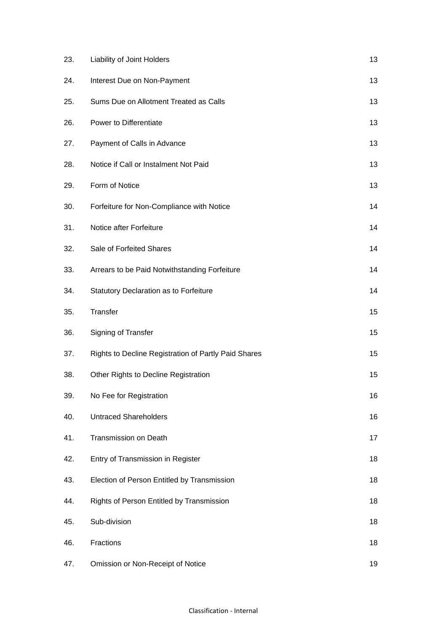| 23. | Liability of Joint Holders                           | 13 |
|-----|------------------------------------------------------|----|
| 24. | Interest Due on Non-Payment                          | 13 |
| 25. | Sums Due on Allotment Treated as Calls               | 13 |
| 26. | Power to Differentiate                               | 13 |
| 27. | Payment of Calls in Advance                          | 13 |
| 28. | Notice if Call or Instalment Not Paid                | 13 |
| 29. | Form of Notice                                       | 13 |
| 30. | Forfeiture for Non-Compliance with Notice            | 14 |
| 31. | Notice after Forfeiture                              | 14 |
| 32. | Sale of Forfeited Shares                             | 14 |
| 33. | Arrears to be Paid Notwithstanding Forfeiture        | 14 |
| 34. | Statutory Declaration as to Forfeiture               | 14 |
| 35. | Transfer                                             | 15 |
| 36. | Signing of Transfer                                  | 15 |
| 37. | Rights to Decline Registration of Partly Paid Shares | 15 |
| 38. | Other Rights to Decline Registration                 | 15 |
| 39. | No Fee for Registration                              | 16 |
| 40. | <b>Untraced Shareholders</b>                         | 16 |
| 41. | <b>Transmission on Death</b>                         | 17 |
| 42. | Entry of Transmission in Register                    | 18 |
| 43. | Election of Person Entitled by Transmission          | 18 |
| 44. | Rights of Person Entitled by Transmission            | 18 |
| 45. | Sub-division                                         | 18 |
| 46. | Fractions                                            | 18 |
| 47. | Omission or Non-Receipt of Notice                    | 19 |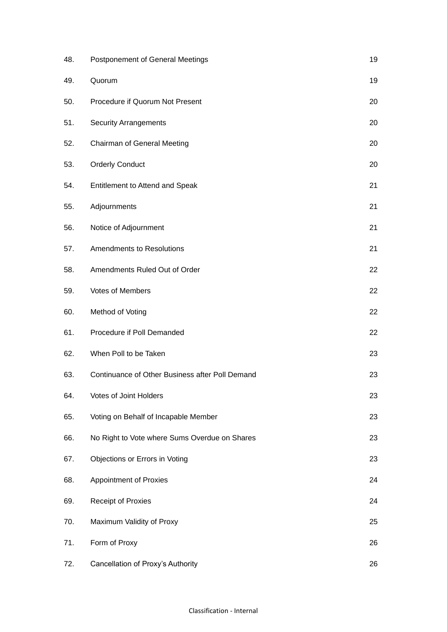| 48. | Postponement of General Meetings                | 19 |
|-----|-------------------------------------------------|----|
| 49. | Quorum                                          | 19 |
| 50. | Procedure if Quorum Not Present                 | 20 |
| 51. | <b>Security Arrangements</b>                    | 20 |
| 52. | <b>Chairman of General Meeting</b>              | 20 |
| 53. | <b>Orderly Conduct</b>                          | 20 |
| 54. | Entitlement to Attend and Speak                 | 21 |
| 55. | Adjournments                                    | 21 |
| 56. | Notice of Adjournment                           | 21 |
| 57. | <b>Amendments to Resolutions</b>                | 21 |
| 58. | Amendments Ruled Out of Order                   | 22 |
| 59. | Votes of Members                                | 22 |
| 60. | Method of Voting                                | 22 |
| 61. | Procedure if Poll Demanded                      | 22 |
| 62. | When Poll to be Taken                           | 23 |
| 63. | Continuance of Other Business after Poll Demand | 23 |
| 64. | Votes of Joint Holders                          | 23 |
| 65. | Voting on Behalf of Incapable Member            | 23 |
| 66. | No Right to Vote where Sums Overdue on Shares   | 23 |
| 67. | Objections or Errors in Voting                  | 23 |
| 68. | <b>Appointment of Proxies</b>                   | 24 |
| 69. | <b>Receipt of Proxies</b>                       | 24 |
| 70. | Maximum Validity of Proxy                       | 25 |
| 71. | Form of Proxy                                   | 26 |
| 72. | Cancellation of Proxy's Authority               | 26 |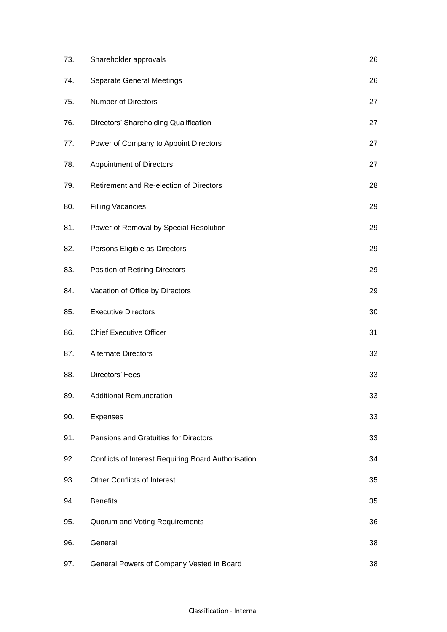| 73. | Shareholder approvals                               | 26 |
|-----|-----------------------------------------------------|----|
| 74. | Separate General Meetings                           | 26 |
| 75. | Number of Directors                                 | 27 |
| 76. | Directors' Shareholding Qualification               | 27 |
| 77. | Power of Company to Appoint Directors               | 27 |
| 78. | <b>Appointment of Directors</b>                     | 27 |
| 79. | Retirement and Re-election of Directors             | 28 |
| 80. | <b>Filling Vacancies</b>                            | 29 |
| 81. | Power of Removal by Special Resolution              | 29 |
| 82. | Persons Eligible as Directors                       | 29 |
| 83. | Position of Retiring Directors                      | 29 |
| 84. | Vacation of Office by Directors                     | 29 |
| 85. | <b>Executive Directors</b>                          | 30 |
| 86. | <b>Chief Executive Officer</b>                      | 31 |
| 87. | <b>Alternate Directors</b>                          | 32 |
| 88. | Directors' Fees                                     | 33 |
| 89. | <b>Additional Remuneration</b>                      | 33 |
| 90. | Expenses                                            | 33 |
| 91. | Pensions and Gratuities for Directors               | 33 |
| 92. | Conflicts of Interest Requiring Board Authorisation | 34 |
| 93. | Other Conflicts of Interest                         | 35 |
| 94. | <b>Benefits</b>                                     | 35 |
| 95. | Quorum and Voting Requirements                      | 36 |
| 96. | General                                             | 38 |
| 97. | General Powers of Company Vested in Board           | 38 |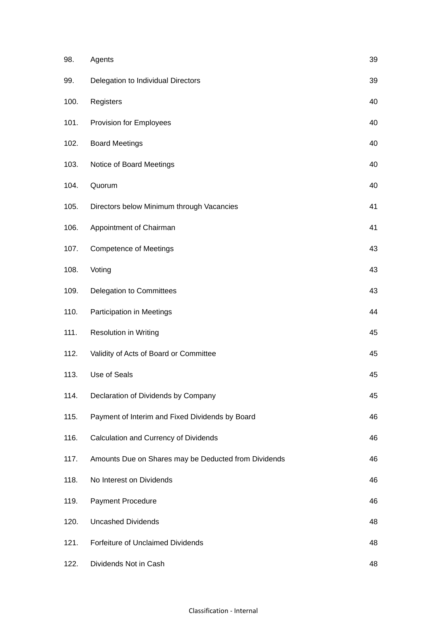| 98.  | Agents                                               | 39 |
|------|------------------------------------------------------|----|
| 99.  | Delegation to Individual Directors                   | 39 |
| 100. | Registers                                            | 40 |
| 101. | Provision for Employees                              | 40 |
| 102. | <b>Board Meetings</b>                                | 40 |
| 103. | Notice of Board Meetings                             | 40 |
| 104. | Quorum                                               | 40 |
| 105. | Directors below Minimum through Vacancies            | 41 |
| 106. | Appointment of Chairman                              | 41 |
| 107. | <b>Competence of Meetings</b>                        | 43 |
| 108. | Voting                                               | 43 |
| 109. | Delegation to Committees                             | 43 |
| 110. | Participation in Meetings                            | 44 |
| 111. | <b>Resolution in Writing</b>                         | 45 |
| 112. | Validity of Acts of Board or Committee               | 45 |
| 113. | Use of Seals                                         | 45 |
| 114. | Declaration of Dividends by Company                  | 45 |
| 115. | Payment of Interim and Fixed Dividends by Board      | 46 |
| 116. | Calculation and Currency of Dividends                | 46 |
| 117. | Amounts Due on Shares may be Deducted from Dividends | 46 |
| 118. | No Interest on Dividends                             | 46 |
| 119. | Payment Procedure                                    | 46 |
| 120. | <b>Uncashed Dividends</b>                            | 48 |
| 121. | Forfeiture of Unclaimed Dividends                    | 48 |
| 122. | Dividends Not in Cash                                | 48 |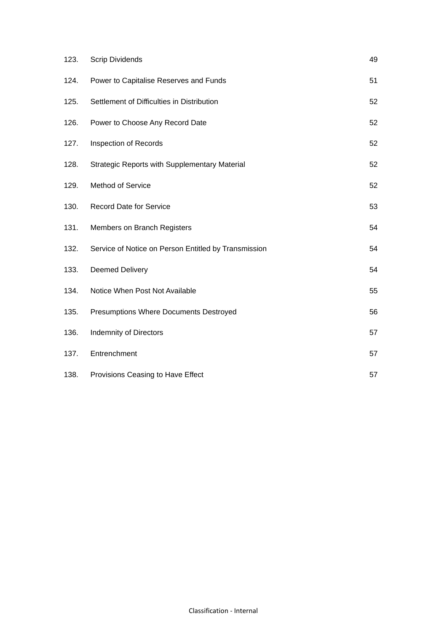| 123. | <b>Scrip Dividends</b>                               | 49 |
|------|------------------------------------------------------|----|
| 124. | Power to Capitalise Reserves and Funds               | 51 |
| 125. | Settlement of Difficulties in Distribution           | 52 |
| 126. | Power to Choose Any Record Date                      | 52 |
| 127. | Inspection of Records                                | 52 |
| 128. | <b>Strategic Reports with Supplementary Material</b> | 52 |
| 129. | Method of Service                                    | 52 |
| 130. | <b>Record Date for Service</b>                       | 53 |
| 131. | Members on Branch Registers                          | 54 |
| 132. | Service of Notice on Person Entitled by Transmission | 54 |
| 133. | <b>Deemed Delivery</b>                               | 54 |
| 134. | Notice When Post Not Available                       | 55 |
| 135. | Presumptions Where Documents Destroyed               | 56 |
| 136. | <b>Indemnity of Directors</b>                        | 57 |
| 137. | Entrenchment                                         | 57 |
| 138. | Provisions Ceasing to Have Effect                    | 57 |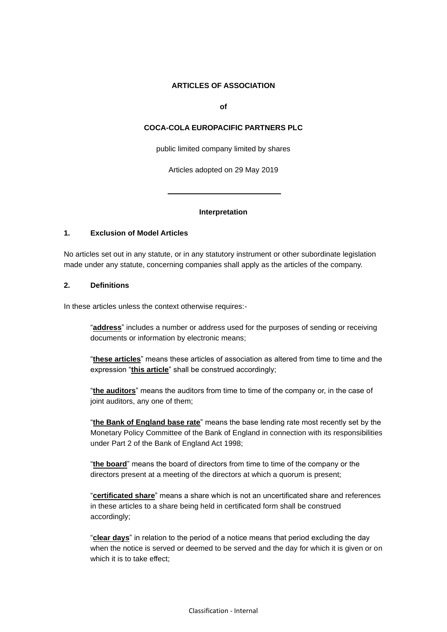#### **ARTICLES OF ASSOCIATION**

**of**

### **COCA-COLA EUROPACIFIC PARTNERS PLC**

public limited company limited by shares

Articles adopted on 29 May 2019

ı

#### **Interpretation**

### **1. Exclusion of Model Articles**

No articles set out in any statute, or in any statutory instrument or other subordinate legislation made under any statute, concerning companies shall apply as the articles of the company.

#### **2. Definitions**

In these articles unless the context otherwise requires:-

"**address**" includes a number or address used for the purposes of sending or receiving documents or information by electronic means;

"**these articles**" means these articles of association as altered from time to time and the expression "**this article**" shall be construed accordingly;

"**the auditors**" means the auditors from time to time of the company or, in the case of joint auditors, any one of them;

"**the Bank of England base rate**" means the base lending rate most recently set by the Monetary Policy Committee of the Bank of England in connection with its responsibilities under Part 2 of the Bank of England Act 1998;

"**the board**" means the board of directors from time to time of the company or the directors present at a meeting of the directors at which a quorum is present;

"**certificated share**" means a share which is not an uncertificated share and references in these articles to a share being held in certificated form shall be construed accordingly;

"**clear days**" in relation to the period of a notice means that period excluding the day when the notice is served or deemed to be served and the day for which it is given or on which it is to take effect;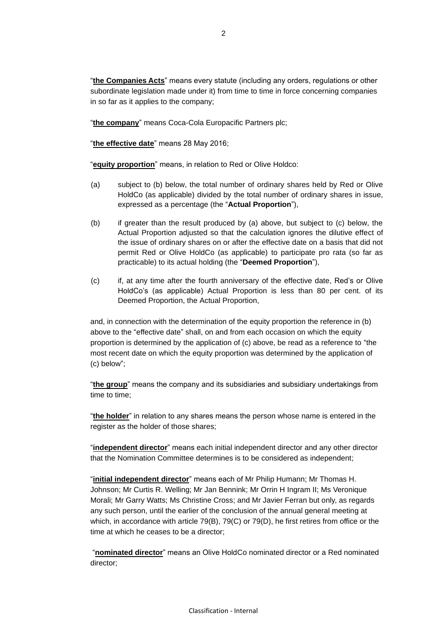"**the Companies Acts**" means every statute (including any orders, regulations or other subordinate legislation made under it) from time to time in force concerning companies in so far as it applies to the company;

"**the company**" means Coca-Cola Europacific Partners plc;

"**the effective date**" means 28 May 2016;

"**equity proportion**" means, in relation to Red or Olive Holdco:

- (a) subject to (b) below, the total number of ordinary shares held by Red or Olive HoldCo (as applicable) divided by the total number of ordinary shares in issue, expressed as a percentage (the "**Actual Proportion**"),
- (b) if greater than the result produced by (a) above, but subject to (c) below, the Actual Proportion adjusted so that the calculation ignores the dilutive effect of the issue of ordinary shares on or after the effective date on a basis that did not permit Red or Olive HoldCo (as applicable) to participate pro rata (so far as practicable) to its actual holding (the "**Deemed Proportion**"),
- (c) if, at any time after the fourth anniversary of the effective date, Red's or Olive HoldCo's (as applicable) Actual Proportion is less than 80 per cent. of its Deemed Proportion, the Actual Proportion,

and, in connection with the determination of the equity proportion the reference in (b) above to the "effective date" shall, on and from each occasion on which the equity proportion is determined by the application of (c) above, be read as a reference to "the most recent date on which the equity proportion was determined by the application of (c) below";

"**the group**" means the company and its subsidiaries and subsidiary undertakings from time to time;

"**the holder**" in relation to any shares means the person whose name is entered in the register as the holder of those shares;

"**independent director**" means each initial independent director and any other director that the Nomination Committee determines is to be considered as independent;

"**initial independent director**" means each of Mr Philip Humann; Mr Thomas H. Johnson; Mr Curtis R. Welling; Mr Jan Bennink; Mr Orrin H Ingram II; Ms Veronique Morali; Mr Garry Watts; Ms Christine Cross; and Mr Javier Ferran but only, as regards any such person, until the earlier of the conclusion of the annual general meeting at which, in accordance with article [79\(B\),](#page-34-0) [79\(C\)](#page-34-1) or [79\(D\),](#page-34-2) he first retires from office or the time at which he ceases to be a director;

"**nominated director**" means an Olive HoldCo nominated director or a Red nominated director;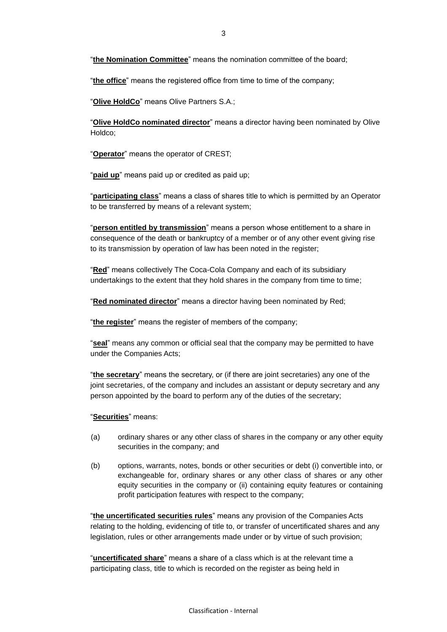"**the office**" means the registered office from time to time of the company;

"**Olive HoldCo**" means Olive Partners S.A.;

"**Olive HoldCo nominated director**" means a director having been nominated by Olive Holdco;

"**Operator**" means the operator of CREST;

"**paid up**" means paid up or credited as paid up;

"**participating class**" means a class of shares title to which is permitted by an Operator to be transferred by means of a relevant system;

"**person entitled by transmission**" means a person whose entitlement to a share in consequence of the death or bankruptcy of a member or of any other event giving rise to its transmission by operation of law has been noted in the register;

"**Red**" means collectively The Coca-Cola Company and each of its subsidiary undertakings to the extent that they hold shares in the company from time to time;

"**Red nominated director**" means a director having been nominated by Red;

"**the register**" means the register of members of the company;

"**seal**" means any common or official seal that the company may be permitted to have under the Companies Acts;

"**the secretary**" means the secretary, or (if there are joint secretaries) any one of the joint secretaries, of the company and includes an assistant or deputy secretary and any person appointed by the board to perform any of the duties of the secretary;

"**Securities**" means:

- (a) ordinary shares or any other class of shares in the company or any other equity securities in the company; and
- (b) options, warrants, notes, bonds or other securities or debt (i) convertible into, or exchangeable for, ordinary shares or any other class of shares or any other equity securities in the company or (ii) containing equity features or containing profit participation features with respect to the company;

"**the uncertificated securities rules**" means any provision of the Companies Acts relating to the holding, evidencing of title to, or transfer of uncertificated shares and any legislation, rules or other arrangements made under or by virtue of such provision;

"**uncertificated share**" means a share of a class which is at the relevant time a participating class, title to which is recorded on the register as being held in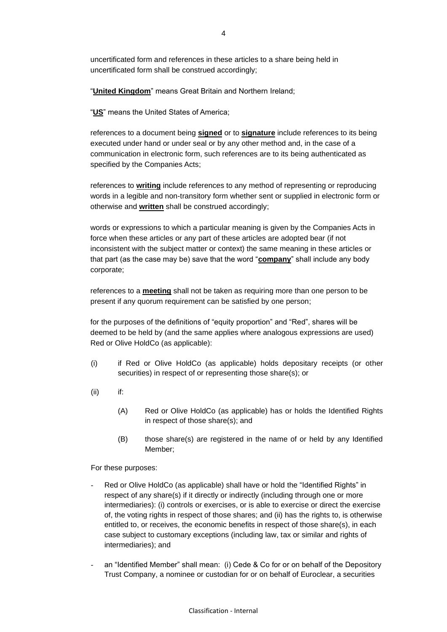"**United Kingdom**" means Great Britain and Northern Ireland;

"**US**" means the United States of America;

references to a document being **signed** or to **signature** include references to its being executed under hand or under seal or by any other method and, in the case of a communication in electronic form, such references are to its being authenticated as specified by the Companies Acts;

references to **writing** include references to any method of representing or reproducing words in a legible and non-transitory form whether sent or supplied in electronic form or otherwise and **written** shall be construed accordingly;

words or expressions to which a particular meaning is given by the Companies Acts in force when these articles or any part of these articles are adopted bear (if not inconsistent with the subject matter or context) the same meaning in these articles or that part (as the case may be) save that the word "**company**" shall include any body corporate;

references to a **meeting** shall not be taken as requiring more than one person to be present if any quorum requirement can be satisfied by one person;

for the purposes of the definitions of "equity proportion" and "Red", shares will be deemed to be held by (and the same applies where analogous expressions are used) Red or Olive HoldCo (as applicable):

- (i) if Red or Olive HoldCo (as applicable) holds depositary receipts (or other securities) in respect of or representing those share(s); or
- (ii) if:
	- (A) Red or Olive HoldCo (as applicable) has or holds the Identified Rights in respect of those share(s); and
	- (B) those share(s) are registered in the name of or held by any Identified Member;

For these purposes:

- Red or Olive HoldCo (as applicable) shall have or hold the "Identified Rights" in respect of any share(s) if it directly or indirectly (including through one or more intermediaries): (i) controls or exercises, or is able to exercise or direct the exercise of, the voting rights in respect of those shares; and (ii) has the rights to, is otherwise entitled to, or receives, the economic benefits in respect of those share(s), in each case subject to customary exceptions (including law, tax or similar and rights of intermediaries); and
- an "Identified Member" shall mean: (i) Cede & Co for or on behalf of the Depository Trust Company, a nominee or custodian for or on behalf of Euroclear, a securities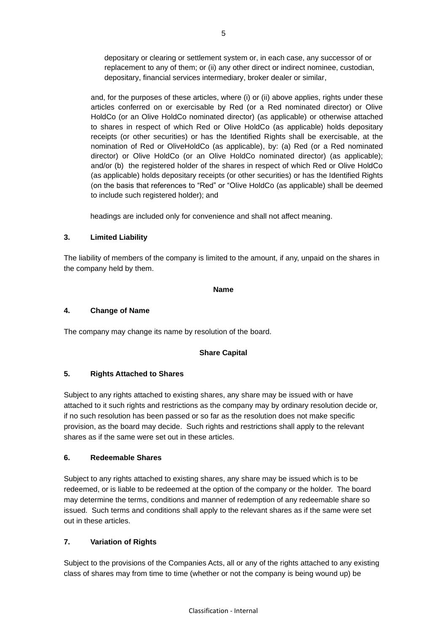depositary or clearing or settlement system or, in each case, any successor of or replacement to any of them; or (ii) any other direct or indirect nominee, custodian, depositary, financial services intermediary, broker dealer or similar,

and, for the purposes of these articles, where (i) or (ii) above applies, rights under these articles conferred on or exercisable by Red (or a Red nominated director) or Olive HoldCo (or an Olive HoldCo nominated director) (as applicable) or otherwise attached to shares in respect of which Red or Olive HoldCo (as applicable) holds depositary receipts (or other securities) or has the Identified Rights shall be exercisable, at the nomination of Red or OliveHoldCo (as applicable), by: (a) Red (or a Red nominated director) or Olive HoldCo (or an Olive HoldCo nominated director) (as applicable); and/or (b) the registered holder of the shares in respect of which Red or Olive HoldCo (as applicable) holds depositary receipts (or other securities) or has the Identified Rights (on the basis that references to "Red" or "Olive HoldCo (as applicable) shall be deemed to include such registered holder); and

headings are included only for convenience and shall not affect meaning.

### **3. Limited Liability**

The liability of members of the company is limited to the amount, if any, unpaid on the shares in the company held by them.

### **Name**

### **4. Change of Name**

The company may change its name by resolution of the board.

## **Share Capital**

## **5. Rights Attached to Shares**

Subject to any rights attached to existing shares, any share may be issued with or have attached to it such rights and restrictions as the company may by ordinary resolution decide or, if no such resolution has been passed or so far as the resolution does not make specific provision, as the board may decide. Such rights and restrictions shall apply to the relevant shares as if the same were set out in these articles.

### **6. Redeemable Shares**

Subject to any rights attached to existing shares, any share may be issued which is to be redeemed, or is liable to be redeemed at the option of the company or the holder. The board may determine the terms, conditions and manner of redemption of any redeemable share so issued. Such terms and conditions shall apply to the relevant shares as if the same were set out in these articles.

# **7. Variation of Rights**

Subject to the provisions of the Companies Acts, all or any of the rights attached to any existing class of shares may from time to time (whether or not the company is being wound up) be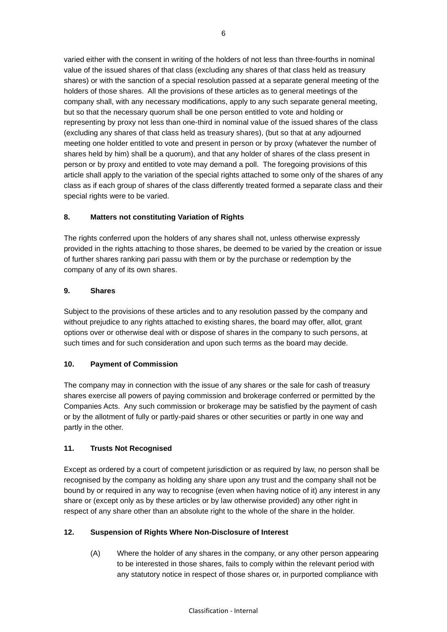varied either with the consent in writing of the holders of not less than three-fourths in nominal value of the issued shares of that class (excluding any shares of that class held as treasury shares) or with the sanction of a special resolution passed at a separate general meeting of the holders of those shares. All the provisions of these articles as to general meetings of the company shall, with any necessary modifications, apply to any such separate general meeting, but so that the necessary quorum shall be one person entitled to vote and holding or representing by proxy not less than one-third in nominal value of the issued shares of the class (excluding any shares of that class held as treasury shares), (but so that at any adjourned meeting one holder entitled to vote and present in person or by proxy (whatever the number of shares held by him) shall be a quorum), and that any holder of shares of the class present in person or by proxy and entitled to vote may demand a poll. The foregoing provisions of this article shall apply to the variation of the special rights attached to some only of the shares of any class as if each group of shares of the class differently treated formed a separate class and their special rights were to be varied.

# **8. Matters not constituting Variation of Rights**

The rights conferred upon the holders of any shares shall not, unless otherwise expressly provided in the rights attaching to those shares, be deemed to be varied by the creation or issue of further shares ranking pari passu with them or by the purchase or redemption by the company of any of its own shares.

## **9. Shares**

Subject to the provisions of these articles and to any resolution passed by the company and without prejudice to any rights attached to existing shares, the board may offer, allot, grant options over or otherwise deal with or dispose of shares in the company to such persons, at such times and for such consideration and upon such terms as the board may decide.

## **10. Payment of Commission**

The company may in connection with the issue of any shares or the sale for cash of treasury shares exercise all powers of paying commission and brokerage conferred or permitted by the Companies Acts. Any such commission or brokerage may be satisfied by the payment of cash or by the allotment of fully or partly-paid shares or other securities or partly in one way and partly in the other.

## **11. Trusts Not Recognised**

Except as ordered by a court of competent jurisdiction or as required by law, no person shall be recognised by the company as holding any share upon any trust and the company shall not be bound by or required in any way to recognise (even when having notice of it) any interest in any share or (except only as by these articles or by law otherwise provided) any other right in respect of any share other than an absolute right to the whole of the share in the holder.

## **12. Suspension of Rights Where Non-Disclosure of Interest**

(A) Where the holder of any shares in the company, or any other person appearing to be interested in those shares, fails to comply within the relevant period with any statutory notice in respect of those shares or, in purported compliance with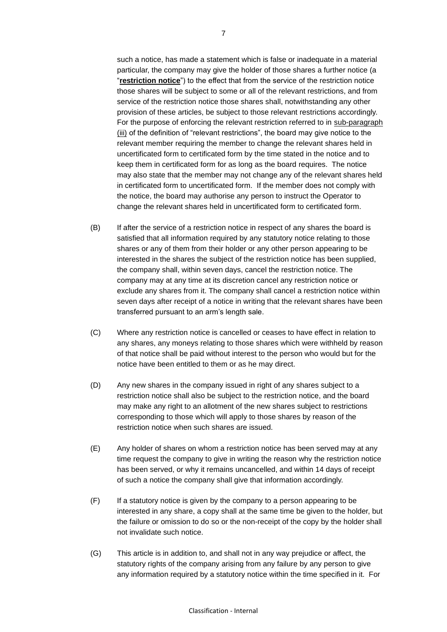such a notice, has made a statement which is false or inadequate in a material particular, the company may give the holder of those shares a further notice (a "**restriction notice**") to the effect that from the service of the restriction notice those shares will be subject to some or all of the relevant restrictions, and from service of the restriction notice those shares shall, notwithstanding any other provision of these articles, be subject to those relevant restrictions accordingly. For the purpose of enforcing the relevant restriction referred to in sub-paragraph (iii) of the definition of "relevant restrictions", the board may give notice to the relevant member requiring the member to change the relevant shares held in uncertificated form to certificated form by the time stated in the notice and to keep them in certificated form for as long as the board requires. The notice may also state that the member may not change any of the relevant shares held in certificated form to uncertificated form. If the member does not comply with the notice, the board may authorise any person to instruct the Operator to change the relevant shares held in uncertificated form to certificated form.

- (B) If after the service of a restriction notice in respect of any shares the board is satisfied that all information required by any statutory notice relating to those shares or any of them from their holder or any other person appearing to be interested in the shares the subject of the restriction notice has been supplied, the company shall, within seven days, cancel the restriction notice. The company may at any time at its discretion cancel any restriction notice or exclude any shares from it. The company shall cancel a restriction notice within seven days after receipt of a notice in writing that the relevant shares have been transferred pursuant to an arm's length sale.
- (C) Where any restriction notice is cancelled or ceases to have effect in relation to any shares, any moneys relating to those shares which were withheld by reason of that notice shall be paid without interest to the person who would but for the notice have been entitled to them or as he may direct.
- (D) Any new shares in the company issued in right of any shares subject to a restriction notice shall also be subject to the restriction notice, and the board may make any right to an allotment of the new shares subject to restrictions corresponding to those which will apply to those shares by reason of the restriction notice when such shares are issued.
- (E) Any holder of shares on whom a restriction notice has been served may at any time request the company to give in writing the reason why the restriction notice has been served, or why it remains uncancelled, and within 14 days of receipt of such a notice the company shall give that information accordingly.
- (F) If a statutory notice is given by the company to a person appearing to be interested in any share, a copy shall at the same time be given to the holder, but the failure or omission to do so or the non-receipt of the copy by the holder shall not invalidate such notice.
- (G) This article is in addition to, and shall not in any way prejudice or affect, the statutory rights of the company arising from any failure by any person to give any information required by a statutory notice within the time specified in it. For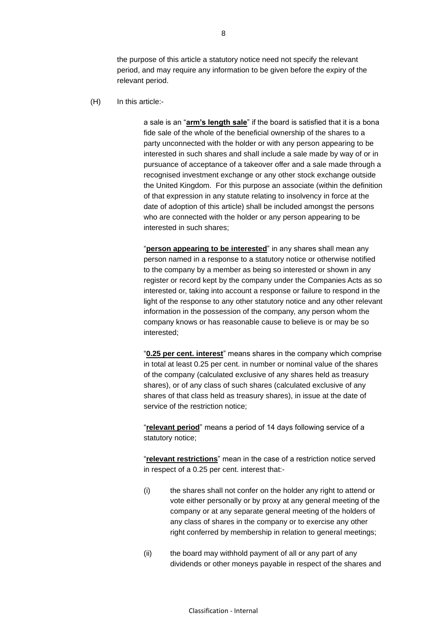the purpose of this article a statutory notice need not specify the relevant period, and may require any information to be given before the expiry of the relevant period.

(H) In this article:-

a sale is an "**arm's length sale**" if the board is satisfied that it is a bona fide sale of the whole of the beneficial ownership of the shares to a party unconnected with the holder or with any person appearing to be interested in such shares and shall include a sale made by way of or in pursuance of acceptance of a takeover offer and a sale made through a recognised investment exchange or any other stock exchange outside the United Kingdom. For this purpose an associate (within the definition of that expression in any statute relating to insolvency in force at the date of adoption of this article) shall be included amongst the persons who are connected with the holder or any person appearing to be interested in such shares;

"**person appearing to be interested**" in any shares shall mean any person named in a response to a statutory notice or otherwise notified to the company by a member as being so interested or shown in any register or record kept by the company under the Companies Acts as so interested or, taking into account a response or failure to respond in the light of the response to any other statutory notice and any other relevant information in the possession of the company, any person whom the company knows or has reasonable cause to believe is or may be so interested;

"**0.25 per cent. interest**" means shares in the company which comprise in total at least 0.25 per cent. in number or nominal value of the shares of the company (calculated exclusive of any shares held as treasury shares), or of any class of such shares (calculated exclusive of any shares of that class held as treasury shares), in issue at the date of service of the restriction notice;

"**relevant period**" means a period of 14 days following service of a statutory notice;

"**relevant restrictions**" mean in the case of a restriction notice served in respect of a 0.25 per cent. interest that:-

- (i) the shares shall not confer on the holder any right to attend or vote either personally or by proxy at any general meeting of the company or at any separate general meeting of the holders of any class of shares in the company or to exercise any other right conferred by membership in relation to general meetings;
- (ii) the board may withhold payment of all or any part of any dividends or other moneys payable in respect of the shares and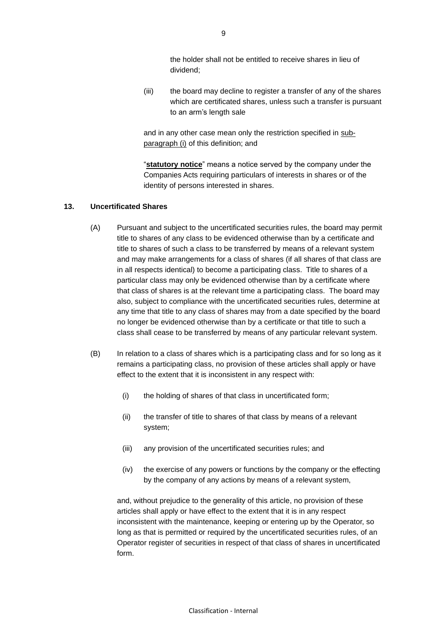the holder shall not be entitled to receive shares in lieu of dividend;

(iii) the board may decline to register a transfer of any of the shares which are certificated shares, unless such a transfer is pursuant to an arm's length sale

and in any other case mean only the restriction specified in subparagraph (i) of this definition; and

"**statutory notice**" means a notice served by the company under the Companies Acts requiring particulars of interests in shares or of the identity of persons interested in shares.

#### **13. Uncertificated Shares**

- (A) Pursuant and subject to the uncertificated securities rules, the board may permit title to shares of any class to be evidenced otherwise than by a certificate and title to shares of such a class to be transferred by means of a relevant system and may make arrangements for a class of shares (if all shares of that class are in all respects identical) to become a participating class. Title to shares of a particular class may only be evidenced otherwise than by a certificate where that class of shares is at the relevant time a participating class. The board may also, subject to compliance with the uncertificated securities rules, determine at any time that title to any class of shares may from a date specified by the board no longer be evidenced otherwise than by a certificate or that title to such a class shall cease to be transferred by means of any particular relevant system.
- (B) In relation to a class of shares which is a participating class and for so long as it remains a participating class, no provision of these articles shall apply or have effect to the extent that it is inconsistent in any respect with:
	- (i) the holding of shares of that class in uncertificated form;
	- (ii) the transfer of title to shares of that class by means of a relevant system;
	- (iii) any provision of the uncertificated securities rules; and
	- (iv) the exercise of any powers or functions by the company or the effecting by the company of any actions by means of a relevant system,

and, without prejudice to the generality of this article, no provision of these articles shall apply or have effect to the extent that it is in any respect inconsistent with the maintenance, keeping or entering up by the Operator, so long as that is permitted or required by the uncertificated securities rules, of an Operator register of securities in respect of that class of shares in uncertificated form.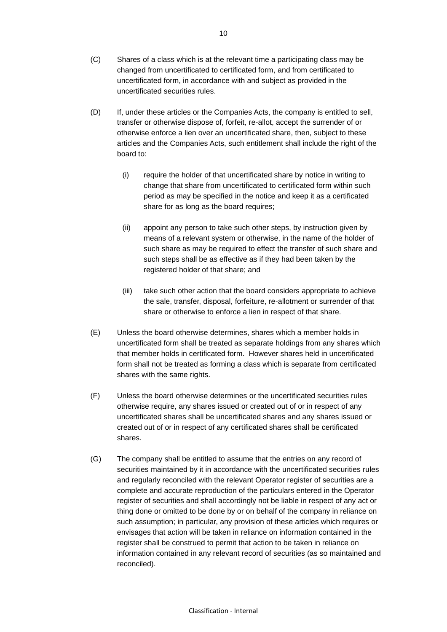- (D) If, under these articles or the Companies Acts, the company is entitled to sell, transfer or otherwise dispose of, forfeit, re-allot, accept the surrender of or otherwise enforce a lien over an uncertificated share, then, subject to these articles and the Companies Acts, such entitlement shall include the right of the board to:
	- (i) require the holder of that uncertificated share by notice in writing to change that share from uncertificated to certificated form within such period as may be specified in the notice and keep it as a certificated share for as long as the board requires;
	- (ii) appoint any person to take such other steps, by instruction given by means of a relevant system or otherwise, in the name of the holder of such share as may be required to effect the transfer of such share and such steps shall be as effective as if they had been taken by the registered holder of that share; and
	- (iii) take such other action that the board considers appropriate to achieve the sale, transfer, disposal, forfeiture, re-allotment or surrender of that share or otherwise to enforce a lien in respect of that share.
- (E) Unless the board otherwise determines, shares which a member holds in uncertificated form shall be treated as separate holdings from any shares which that member holds in certificated form. However shares held in uncertificated form shall not be treated as forming a class which is separate from certificated shares with the same rights.
- (F) Unless the board otherwise determines or the uncertificated securities rules otherwise require, any shares issued or created out of or in respect of any uncertificated shares shall be uncertificated shares and any shares issued or created out of or in respect of any certificated shares shall be certificated shares.
- (G) The company shall be entitled to assume that the entries on any record of securities maintained by it in accordance with the uncertificated securities rules and regularly reconciled with the relevant Operator register of securities are a complete and accurate reproduction of the particulars entered in the Operator register of securities and shall accordingly not be liable in respect of any act or thing done or omitted to be done by or on behalf of the company in reliance on such assumption; in particular, any provision of these articles which requires or envisages that action will be taken in reliance on information contained in the register shall be construed to permit that action to be taken in reliance on information contained in any relevant record of securities (as so maintained and reconciled).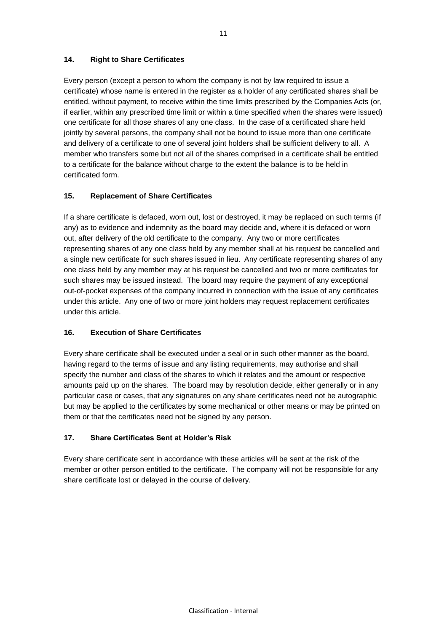### **14. Right to Share Certificates**

Every person (except a person to whom the company is not by law required to issue a certificate) whose name is entered in the register as a holder of any certificated shares shall be entitled, without payment, to receive within the time limits prescribed by the Companies Acts (or, if earlier, within any prescribed time limit or within a time specified when the shares were issued) one certificate for all those shares of any one class. In the case of a certificated share held jointly by several persons, the company shall not be bound to issue more than one certificate and delivery of a certificate to one of several joint holders shall be sufficient delivery to all. A member who transfers some but not all of the shares comprised in a certificate shall be entitled to a certificate for the balance without charge to the extent the balance is to be held in certificated form.

### **15. Replacement of Share Certificates**

If a share certificate is defaced, worn out, lost or destroyed, it may be replaced on such terms (if any) as to evidence and indemnity as the board may decide and, where it is defaced or worn out, after delivery of the old certificate to the company. Any two or more certificates representing shares of any one class held by any member shall at his request be cancelled and a single new certificate for such shares issued in lieu. Any certificate representing shares of any one class held by any member may at his request be cancelled and two or more certificates for such shares may be issued instead. The board may require the payment of any exceptional out-of-pocket expenses of the company incurred in connection with the issue of any certificates under this article. Any one of two or more joint holders may request replacement certificates under this article.

## **16. Execution of Share Certificates**

Every share certificate shall be executed under a seal or in such other manner as the board, having regard to the terms of issue and any listing requirements, may authorise and shall specify the number and class of the shares to which it relates and the amount or respective amounts paid up on the shares. The board may by resolution decide, either generally or in any particular case or cases, that any signatures on any share certificates need not be autographic but may be applied to the certificates by some mechanical or other means or may be printed on them or that the certificates need not be signed by any person.

## **17. Share Certificates Sent at Holder's Risk**

Every share certificate sent in accordance with these articles will be sent at the risk of the member or other person entitled to the certificate. The company will not be responsible for any share certificate lost or delayed in the course of delivery.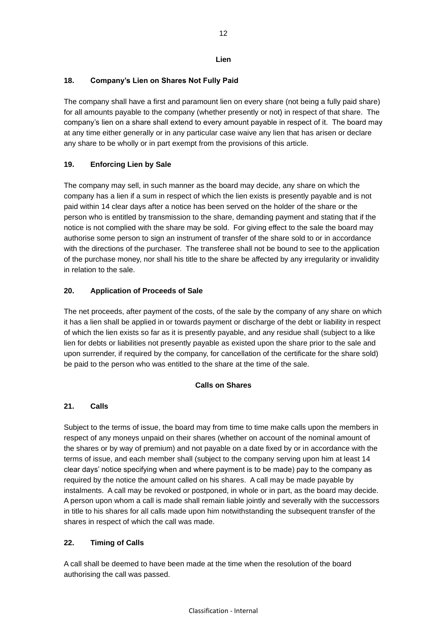### **Lien**

## **18. Company's Lien on Shares Not Fully Paid**

The company shall have a first and paramount lien on every share (not being a fully paid share) for all amounts payable to the company (whether presently or not) in respect of that share. The company's lien on a share shall extend to every amount payable in respect of it. The board may at any time either generally or in any particular case waive any lien that has arisen or declare any share to be wholly or in part exempt from the provisions of this article.

## **19. Enforcing Lien by Sale**

The company may sell, in such manner as the board may decide, any share on which the company has a lien if a sum in respect of which the lien exists is presently payable and is not paid within 14 clear days after a notice has been served on the holder of the share or the person who is entitled by transmission to the share, demanding payment and stating that if the notice is not complied with the share may be sold. For giving effect to the sale the board may authorise some person to sign an instrument of transfer of the share sold to or in accordance with the directions of the purchaser. The transferee shall not be bound to see to the application of the purchase money, nor shall his title to the share be affected by any irregularity or invalidity in relation to the sale.

### **20. Application of Proceeds of Sale**

The net proceeds, after payment of the costs, of the sale by the company of any share on which it has a lien shall be applied in or towards payment or discharge of the debt or liability in respect of which the lien exists so far as it is presently payable, and any residue shall (subject to a like lien for debts or liabilities not presently payable as existed upon the share prior to the sale and upon surrender, if required by the company, for cancellation of the certificate for the share sold) be paid to the person who was entitled to the share at the time of the sale.

### **Calls on Shares**

### **21. Calls**

Subject to the terms of issue, the board may from time to time make calls upon the members in respect of any moneys unpaid on their shares (whether on account of the nominal amount of the shares or by way of premium) and not payable on a date fixed by or in accordance with the terms of issue, and each member shall (subject to the company serving upon him at least 14 clear days' notice specifying when and where payment is to be made) pay to the company as required by the notice the amount called on his shares. A call may be made payable by instalments. A call may be revoked or postponed, in whole or in part, as the board may decide. A person upon whom a call is made shall remain liable jointly and severally with the successors in title to his shares for all calls made upon him notwithstanding the subsequent transfer of the shares in respect of which the call was made.

# **22. Timing of Calls**

A call shall be deemed to have been made at the time when the resolution of the board authorising the call was passed.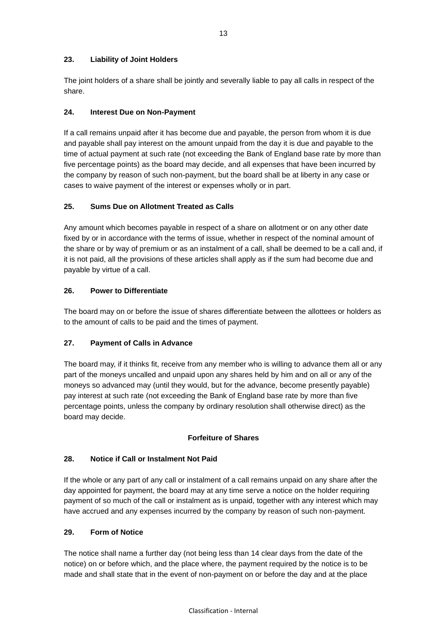### **23. Liability of Joint Holders**

The joint holders of a share shall be jointly and severally liable to pay all calls in respect of the share.

### **24. Interest Due on Non-Payment**

If a call remains unpaid after it has become due and payable, the person from whom it is due and payable shall pay interest on the amount unpaid from the day it is due and payable to the time of actual payment at such rate (not exceeding the Bank of England base rate by more than five percentage points) as the board may decide, and all expenses that have been incurred by the company by reason of such non-payment, but the board shall be at liberty in any case or cases to waive payment of the interest or expenses wholly or in part.

### **25. Sums Due on Allotment Treated as Calls**

Any amount which becomes payable in respect of a share on allotment or on any other date fixed by or in accordance with the terms of issue, whether in respect of the nominal amount of the share or by way of premium or as an instalment of a call, shall be deemed to be a call and, if it is not paid, all the provisions of these articles shall apply as if the sum had become due and payable by virtue of a call.

### **26. Power to Differentiate**

The board may on or before the issue of shares differentiate between the allottees or holders as to the amount of calls to be paid and the times of payment.

## **27. Payment of Calls in Advance**

The board may, if it thinks fit, receive from any member who is willing to advance them all or any part of the moneys uncalled and unpaid upon any shares held by him and on all or any of the moneys so advanced may (until they would, but for the advance, become presently payable) pay interest at such rate (not exceeding the Bank of England base rate by more than five percentage points, unless the company by ordinary resolution shall otherwise direct) as the board may decide.

### **Forfeiture of Shares**

## **28. Notice if Call or Instalment Not Paid**

If the whole or any part of any call or instalment of a call remains unpaid on any share after the day appointed for payment, the board may at any time serve a notice on the holder requiring payment of so much of the call or instalment as is unpaid, together with any interest which may have accrued and any expenses incurred by the company by reason of such non-payment.

### **29. Form of Notice**

The notice shall name a further day (not being less than 14 clear days from the date of the notice) on or before which, and the place where, the payment required by the notice is to be made and shall state that in the event of non-payment on or before the day and at the place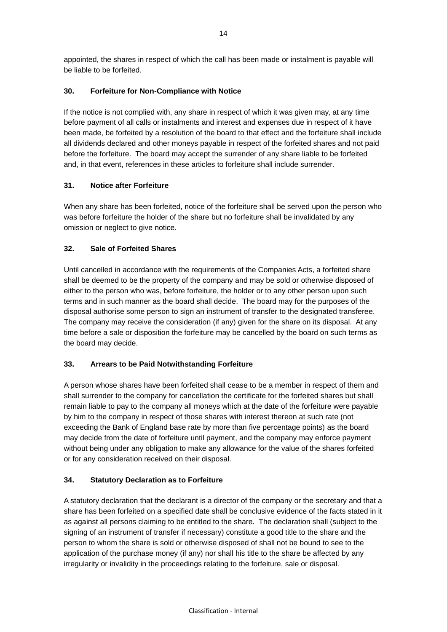appointed, the shares in respect of which the call has been made or instalment is payable will be liable to be forfeited.

### **30. Forfeiture for Non-Compliance with Notice**

If the notice is not complied with, any share in respect of which it was given may, at any time before payment of all calls or instalments and interest and expenses due in respect of it have been made, be forfeited by a resolution of the board to that effect and the forfeiture shall include all dividends declared and other moneys payable in respect of the forfeited shares and not paid before the forfeiture. The board may accept the surrender of any share liable to be forfeited and, in that event, references in these articles to forfeiture shall include surrender.

### **31. Notice after Forfeiture**

When any share has been forfeited, notice of the forfeiture shall be served upon the person who was before forfeiture the holder of the share but no forfeiture shall be invalidated by any omission or neglect to give notice.

### **32. Sale of Forfeited Shares**

Until cancelled in accordance with the requirements of the Companies Acts, a forfeited share shall be deemed to be the property of the company and may be sold or otherwise disposed of either to the person who was, before forfeiture, the holder or to any other person upon such terms and in such manner as the board shall decide. The board may for the purposes of the disposal authorise some person to sign an instrument of transfer to the designated transferee. The company may receive the consideration (if any) given for the share on its disposal. At any time before a sale or disposition the forfeiture may be cancelled by the board on such terms as the board may decide.

## **33. Arrears to be Paid Notwithstanding Forfeiture**

A person whose shares have been forfeited shall cease to be a member in respect of them and shall surrender to the company for cancellation the certificate for the forfeited shares but shall remain liable to pay to the company all moneys which at the date of the forfeiture were payable by him to the company in respect of those shares with interest thereon at such rate (not exceeding the Bank of England base rate by more than five percentage points) as the board may decide from the date of forfeiture until payment, and the company may enforce payment without being under any obligation to make any allowance for the value of the shares forfeited or for any consideration received on their disposal.

### **34. Statutory Declaration as to Forfeiture**

A statutory declaration that the declarant is a director of the company or the secretary and that a share has been forfeited on a specified date shall be conclusive evidence of the facts stated in it as against all persons claiming to be entitled to the share. The declaration shall (subject to the signing of an instrument of transfer if necessary) constitute a good title to the share and the person to whom the share is sold or otherwise disposed of shall not be bound to see to the application of the purchase money (if any) nor shall his title to the share be affected by any irregularity or invalidity in the proceedings relating to the forfeiture, sale or disposal.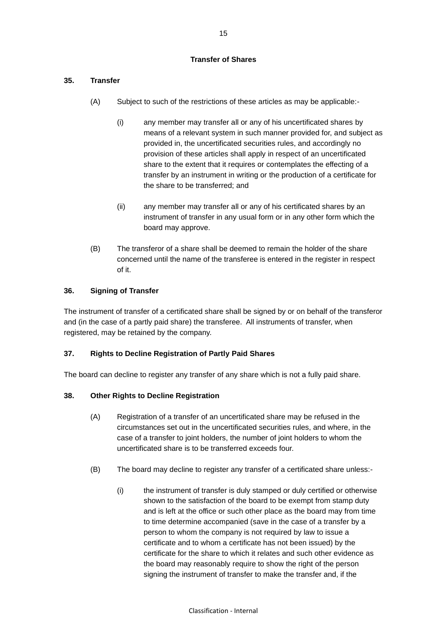### **Transfer of Shares**

# **35. Transfer**

- (A) Subject to such of the restrictions of these articles as may be applicable:-
	- (i) any member may transfer all or any of his uncertificated shares by means of a relevant system in such manner provided for, and subject as provided in, the uncertificated securities rules, and accordingly no provision of these articles shall apply in respect of an uncertificated share to the extent that it requires or contemplates the effecting of a transfer by an instrument in writing or the production of a certificate for the share to be transferred; and
	- (ii) any member may transfer all or any of his certificated shares by an instrument of transfer in any usual form or in any other form which the board may approve.
- (B) The transferor of a share shall be deemed to remain the holder of the share concerned until the name of the transferee is entered in the register in respect of it.

## **36. Signing of Transfer**

The instrument of transfer of a certificated share shall be signed by or on behalf of the transferor and (in the case of a partly paid share) the transferee. All instruments of transfer, when registered, may be retained by the company.

## **37. Rights to Decline Registration of Partly Paid Shares**

The board can decline to register any transfer of any share which is not a fully paid share.

## **38. Other Rights to Decline Registration**

- (A) Registration of a transfer of an uncertificated share may be refused in the circumstances set out in the uncertificated securities rules, and where, in the case of a transfer to joint holders, the number of joint holders to whom the uncertificated share is to be transferred exceeds four.
- (B) The board may decline to register any transfer of a certificated share unless:-
	- (i) the instrument of transfer is duly stamped or duly certified or otherwise shown to the satisfaction of the board to be exempt from stamp duty and is left at the office or such other place as the board may from time to time determine accompanied (save in the case of a transfer by a person to whom the company is not required by law to issue a certificate and to whom a certificate has not been issued) by the certificate for the share to which it relates and such other evidence as the board may reasonably require to show the right of the person signing the instrument of transfer to make the transfer and, if the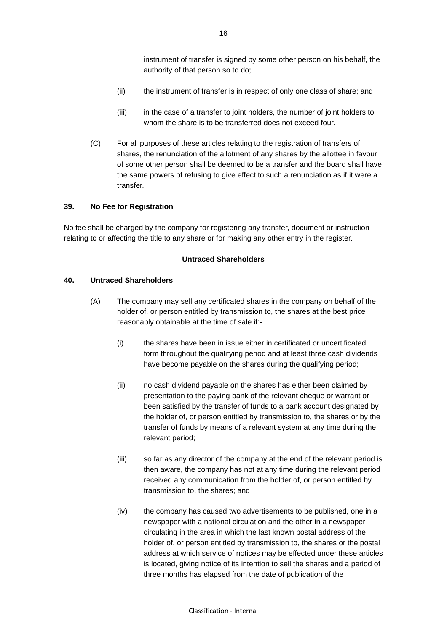instrument of transfer is signed by some other person on his behalf, the authority of that person so to do;

- (ii) the instrument of transfer is in respect of only one class of share; and
- (iii) in the case of a transfer to joint holders, the number of joint holders to whom the share is to be transferred does not exceed four.
- (C) For all purposes of these articles relating to the registration of transfers of shares, the renunciation of the allotment of any shares by the allottee in favour of some other person shall be deemed to be a transfer and the board shall have the same powers of refusing to give effect to such a renunciation as if it were a transfer.

#### **39. No Fee for Registration**

No fee shall be charged by the company for registering any transfer, document or instruction relating to or affecting the title to any share or for making any other entry in the register.

#### **Untraced Shareholders**

#### **40. Untraced Shareholders**

- (A) The company may sell any certificated shares in the company on behalf of the holder of, or person entitled by transmission to, the shares at the best price reasonably obtainable at the time of sale if:-
	- (i) the shares have been in issue either in certificated or uncertificated form throughout the qualifying period and at least three cash dividends have become payable on the shares during the qualifying period;
	- (ii) no cash dividend payable on the shares has either been claimed by presentation to the paying bank of the relevant cheque or warrant or been satisfied by the transfer of funds to a bank account designated by the holder of, or person entitled by transmission to, the shares or by the transfer of funds by means of a relevant system at any time during the relevant period;
	- (iii) so far as any director of the company at the end of the relevant period is then aware, the company has not at any time during the relevant period received any communication from the holder of, or person entitled by transmission to, the shares; and
	- (iv) the company has caused two advertisements to be published, one in a newspaper with a national circulation and the other in a newspaper circulating in the area in which the last known postal address of the holder of, or person entitled by transmission to, the shares or the postal address at which service of notices may be effected under these articles is located, giving notice of its intention to sell the shares and a period of three months has elapsed from the date of publication of the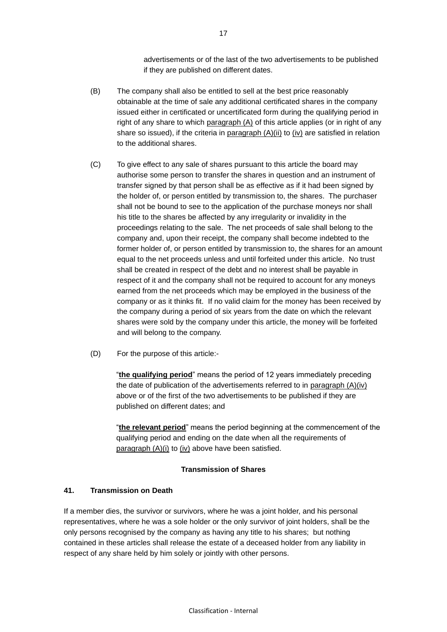advertisements or of the last of the two advertisements to be published if they are published on different dates.

- (B) The company shall also be entitled to sell at the best price reasonably obtainable at the time of sale any additional certificated shares in the company issued either in certificated or uncertificated form during the qualifying period in right of any share to which paragraph  $(A)$  of this article applies (or in right of any share so issued), if the criteria in paragraph  $(A)(ii)$  to  $(iv)$  are satisfied in relation to the additional shares.
- (C) To give effect to any sale of shares pursuant to this article the board may authorise some person to transfer the shares in question and an instrument of transfer signed by that person shall be as effective as if it had been signed by the holder of, or person entitled by transmission to, the shares. The purchaser shall not be bound to see to the application of the purchase moneys nor shall his title to the shares be affected by any irregularity or invalidity in the proceedings relating to the sale. The net proceeds of sale shall belong to the company and, upon their receipt, the company shall become indebted to the former holder of, or person entitled by transmission to, the shares for an amount equal to the net proceeds unless and until forfeited under this article. No trust shall be created in respect of the debt and no interest shall be payable in respect of it and the company shall not be required to account for any moneys earned from the net proceeds which may be employed in the business of the company or as it thinks fit. If no valid claim for the money has been received by the company during a period of six years from the date on which the relevant shares were sold by the company under this article, the money will be forfeited and will belong to the company.
- (D) For the purpose of this article:-

"**the qualifying period**" means the period of 12 years immediately preceding the date of publication of the advertisements referred to in paragraph (A)(iv) above or of the first of the two advertisements to be published if they are published on different dates; and

"**the relevant period**" means the period beginning at the commencement of the qualifying period and ending on the date when all the requirements of paragraph  $(A)(i)$  to  $(iv)$  above have been satisfied.

#### **Transmission of Shares**

## **41. Transmission on Death**

If a member dies, the survivor or survivors, where he was a joint holder, and his personal representatives, where he was a sole holder or the only survivor of joint holders, shall be the only persons recognised by the company as having any title to his shares; but nothing contained in these articles shall release the estate of a deceased holder from any liability in respect of any share held by him solely or jointly with other persons.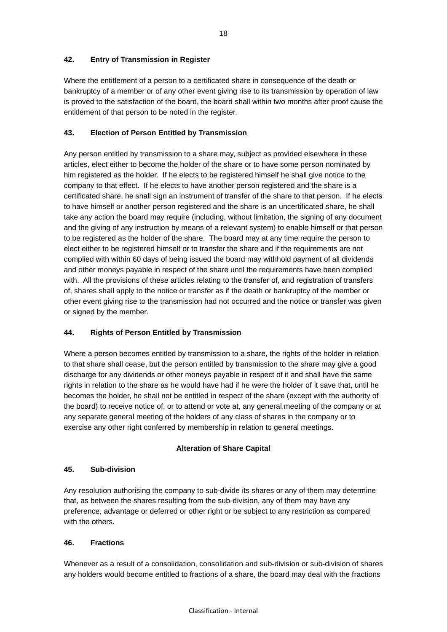### **42. Entry of Transmission in Register**

Where the entitlement of a person to a certificated share in consequence of the death or bankruptcy of a member or of any other event giving rise to its transmission by operation of law is proved to the satisfaction of the board, the board shall within two months after proof cause the entitlement of that person to be noted in the register.

### **43. Election of Person Entitled by Transmission**

Any person entitled by transmission to a share may, subject as provided elsewhere in these articles, elect either to become the holder of the share or to have some person nominated by him registered as the holder. If he elects to be registered himself he shall give notice to the company to that effect. If he elects to have another person registered and the share is a certificated share, he shall sign an instrument of transfer of the share to that person. If he elects to have himself or another person registered and the share is an uncertificated share, he shall take any action the board may require (including, without limitation, the signing of any document and the giving of any instruction by means of a relevant system) to enable himself or that person to be registered as the holder of the share. The board may at any time require the person to elect either to be registered himself or to transfer the share and if the requirements are not complied with within 60 days of being issued the board may withhold payment of all dividends and other moneys payable in respect of the share until the requirements have been complied with. All the provisions of these articles relating to the transfer of, and registration of transfers of, shares shall apply to the notice or transfer as if the death or bankruptcy of the member or other event giving rise to the transmission had not occurred and the notice or transfer was given or signed by the member.

## **44. Rights of Person Entitled by Transmission**

Where a person becomes entitled by transmission to a share, the rights of the holder in relation to that share shall cease, but the person entitled by transmission to the share may give a good discharge for any dividends or other moneys payable in respect of it and shall have the same rights in relation to the share as he would have had if he were the holder of it save that, until he becomes the holder, he shall not be entitled in respect of the share (except with the authority of the board) to receive notice of, or to attend or vote at, any general meeting of the company or at any separate general meeting of the holders of any class of shares in the company or to exercise any other right conferred by membership in relation to general meetings.

### **Alteration of Share Capital**

### **45. Sub-division**

Any resolution authorising the company to sub-divide its shares or any of them may determine that, as between the shares resulting from the sub-division, any of them may have any preference, advantage or deferred or other right or be subject to any restriction as compared with the others.

### **46. Fractions**

Whenever as a result of a consolidation, consolidation and sub-division or sub-division of shares any holders would become entitled to fractions of a share, the board may deal with the fractions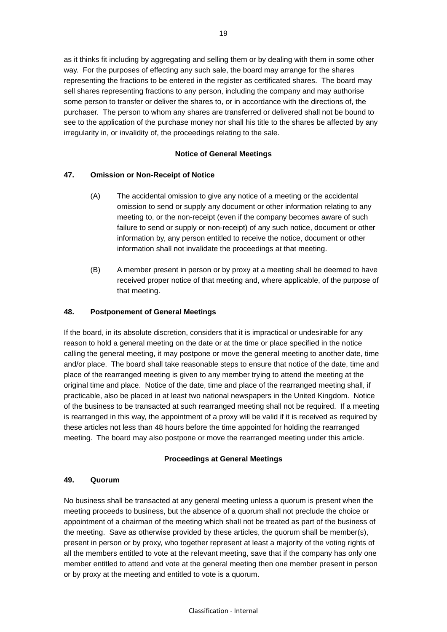as it thinks fit including by aggregating and selling them or by dealing with them in some other way. For the purposes of effecting any such sale, the board may arrange for the shares representing the fractions to be entered in the register as certificated shares. The board may sell shares representing fractions to any person, including the company and may authorise some person to transfer or deliver the shares to, or in accordance with the directions of, the purchaser. The person to whom any shares are transferred or delivered shall not be bound to see to the application of the purchase money nor shall his title to the shares be affected by any irregularity in, or invalidity of, the proceedings relating to the sale.

### **Notice of General Meetings**

### **47. Omission or Non-Receipt of Notice**

- (A) The accidental omission to give any notice of a meeting or the accidental omission to send or supply any document or other information relating to any meeting to, or the non-receipt (even if the company becomes aware of such failure to send or supply or non-receipt) of any such notice, document or other information by, any person entitled to receive the notice, document or other information shall not invalidate the proceedings at that meeting.
- (B) A member present in person or by proxy at a meeting shall be deemed to have received proper notice of that meeting and, where applicable, of the purpose of that meeting.

### **48. Postponement of General Meetings**

If the board, in its absolute discretion, considers that it is impractical or undesirable for any reason to hold a general meeting on the date or at the time or place specified in the notice calling the general meeting, it may postpone or move the general meeting to another date, time and/or place. The board shall take reasonable steps to ensure that notice of the date, time and place of the rearranged meeting is given to any member trying to attend the meeting at the original time and place. Notice of the date, time and place of the rearranged meeting shall, if practicable, also be placed in at least two national newspapers in the United Kingdom. Notice of the business to be transacted at such rearranged meeting shall not be required. If a meeting is rearranged in this way, the appointment of a proxy will be valid if it is received as required by these articles not less than 48 hours before the time appointed for holding the rearranged meeting. The board may also postpone or move the rearranged meeting under this article.

### **Proceedings at General Meetings**

### **49. Quorum**

No business shall be transacted at any general meeting unless a quorum is present when the meeting proceeds to business, but the absence of a quorum shall not preclude the choice or appointment of a chairman of the meeting which shall not be treated as part of the business of the meeting. Save as otherwise provided by these articles, the quorum shall be member(s), present in person or by proxy, who together represent at least a majority of the voting rights of all the members entitled to vote at the relevant meeting, save that if the company has only one member entitled to attend and vote at the general meeting then one member present in person or by proxy at the meeting and entitled to vote is a quorum.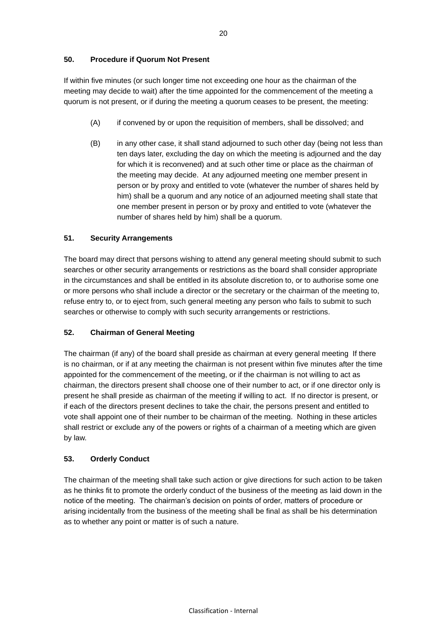### **50. Procedure if Quorum Not Present**

If within five minutes (or such longer time not exceeding one hour as the chairman of the meeting may decide to wait) after the time appointed for the commencement of the meeting a quorum is not present, or if during the meeting a quorum ceases to be present, the meeting:

- (A) if convened by or upon the requisition of members, shall be dissolved; and
- (B) in any other case, it shall stand adjourned to such other day (being not less than ten days later, excluding the day on which the meeting is adjourned and the day for which it is reconvened) and at such other time or place as the chairman of the meeting may decide. At any adjourned meeting one member present in person or by proxy and entitled to vote (whatever the number of shares held by him) shall be a quorum and any notice of an adjourned meeting shall state that one member present in person or by proxy and entitled to vote (whatever the number of shares held by him) shall be a quorum.

### **51. Security Arrangements**

The board may direct that persons wishing to attend any general meeting should submit to such searches or other security arrangements or restrictions as the board shall consider appropriate in the circumstances and shall be entitled in its absolute discretion to, or to authorise some one or more persons who shall include a director or the secretary or the chairman of the meeting to, refuse entry to, or to eject from, such general meeting any person who fails to submit to such searches or otherwise to comply with such security arrangements or restrictions.

### **52. Chairman of General Meeting**

The chairman (if any) of the board shall preside as chairman at every general meeting If there is no chairman, or if at any meeting the chairman is not present within five minutes after the time appointed for the commencement of the meeting, or if the chairman is not willing to act as chairman, the directors present shall choose one of their number to act, or if one director only is present he shall preside as chairman of the meeting if willing to act. If no director is present, or if each of the directors present declines to take the chair, the persons present and entitled to vote shall appoint one of their number to be chairman of the meeting. Nothing in these articles shall restrict or exclude any of the powers or rights of a chairman of a meeting which are given by law.

### **53. Orderly Conduct**

The chairman of the meeting shall take such action or give directions for such action to be taken as he thinks fit to promote the orderly conduct of the business of the meeting as laid down in the notice of the meeting. The chairman's decision on points of order, matters of procedure or arising incidentally from the business of the meeting shall be final as shall be his determination as to whether any point or matter is of such a nature.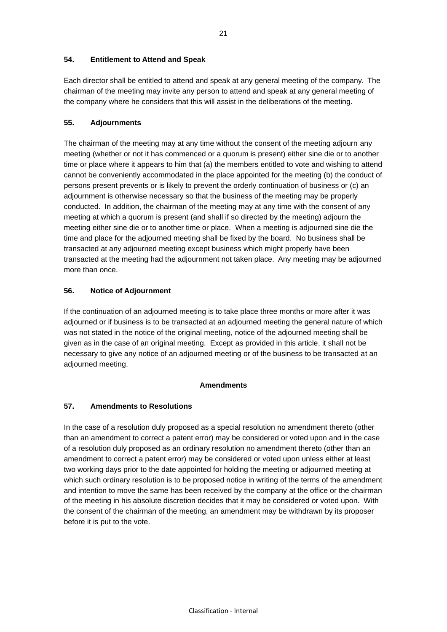### **54. Entitlement to Attend and Speak**

Each director shall be entitled to attend and speak at any general meeting of the company. The chairman of the meeting may invite any person to attend and speak at any general meeting of the company where he considers that this will assist in the deliberations of the meeting.

### **55. Adjournments**

The chairman of the meeting may at any time without the consent of the meeting adjourn any meeting (whether or not it has commenced or a quorum is present) either sine die or to another time or place where it appears to him that (a) the members entitled to vote and wishing to attend cannot be conveniently accommodated in the place appointed for the meeting (b) the conduct of persons present prevents or is likely to prevent the orderly continuation of business or (c) an adjournment is otherwise necessary so that the business of the meeting may be properly conducted. In addition, the chairman of the meeting may at any time with the consent of any meeting at which a quorum is present (and shall if so directed by the meeting) adjourn the meeting either sine die or to another time or place. When a meeting is adjourned sine die the time and place for the adjourned meeting shall be fixed by the board. No business shall be transacted at any adjourned meeting except business which might properly have been transacted at the meeting had the adjournment not taken place. Any meeting may be adjourned more than once.

### **56. Notice of Adjournment**

If the continuation of an adjourned meeting is to take place three months or more after it was adjourned or if business is to be transacted at an adjourned meeting the general nature of which was not stated in the notice of the original meeting, notice of the adjourned meeting shall be given as in the case of an original meeting. Except as provided in this article, it shall not be necessary to give any notice of an adjourned meeting or of the business to be transacted at an adjourned meeting.

### **Amendments**

## **57. Amendments to Resolutions**

In the case of a resolution duly proposed as a special resolution no amendment thereto (other than an amendment to correct a patent error) may be considered or voted upon and in the case of a resolution duly proposed as an ordinary resolution no amendment thereto (other than an amendment to correct a patent error) may be considered or voted upon unless either at least two working days prior to the date appointed for holding the meeting or adjourned meeting at which such ordinary resolution is to be proposed notice in writing of the terms of the amendment and intention to move the same has been received by the company at the office or the chairman of the meeting in his absolute discretion decides that it may be considered or voted upon. With the consent of the chairman of the meeting, an amendment may be withdrawn by its proposer before it is put to the vote.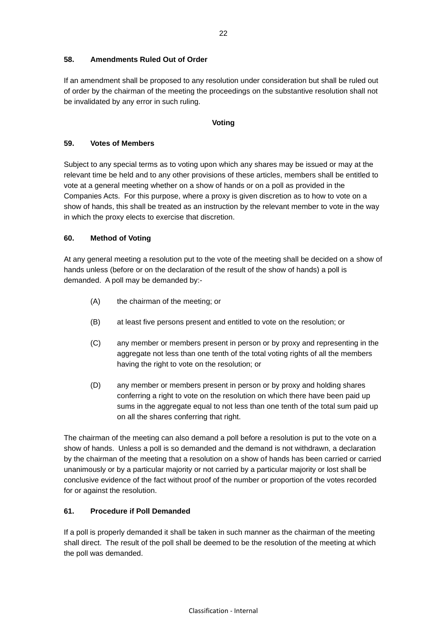### **58. Amendments Ruled Out of Order**

If an amendment shall be proposed to any resolution under consideration but shall be ruled out of order by the chairman of the meeting the proceedings on the substantive resolution shall not be invalidated by any error in such ruling.

#### **Voting**

#### **59. Votes of Members**

Subject to any special terms as to voting upon which any shares may be issued or may at the relevant time be held and to any other provisions of these articles, members shall be entitled to vote at a general meeting whether on a show of hands or on a poll as provided in the Companies Acts. For this purpose, where a proxy is given discretion as to how to vote on a show of hands, this shall be treated as an instruction by the relevant member to vote in the way in which the proxy elects to exercise that discretion.

### **60. Method of Voting**

At any general meeting a resolution put to the vote of the meeting shall be decided on a show of hands unless (before or on the declaration of the result of the show of hands) a poll is demanded. A poll may be demanded by:-

- (A) the chairman of the meeting; or
- (B) at least five persons present and entitled to vote on the resolution; or
- (C) any member or members present in person or by proxy and representing in the aggregate not less than one tenth of the total voting rights of all the members having the right to vote on the resolution; or
- (D) any member or members present in person or by proxy and holding shares conferring a right to vote on the resolution on which there have been paid up sums in the aggregate equal to not less than one tenth of the total sum paid up on all the shares conferring that right.

The chairman of the meeting can also demand a poll before a resolution is put to the vote on a show of hands. Unless a poll is so demanded and the demand is not withdrawn, a declaration by the chairman of the meeting that a resolution on a show of hands has been carried or carried unanimously or by a particular majority or not carried by a particular majority or lost shall be conclusive evidence of the fact without proof of the number or proportion of the votes recorded for or against the resolution.

### **61. Procedure if Poll Demanded**

If a poll is properly demanded it shall be taken in such manner as the chairman of the meeting shall direct. The result of the poll shall be deemed to be the resolution of the meeting at which the poll was demanded.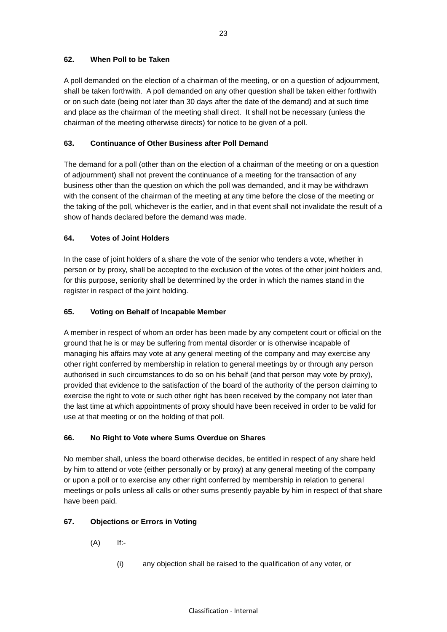### **62. When Poll to be Taken**

A poll demanded on the election of a chairman of the meeting, or on a question of adjournment, shall be taken forthwith. A poll demanded on any other question shall be taken either forthwith or on such date (being not later than 30 days after the date of the demand) and at such time and place as the chairman of the meeting shall direct. It shall not be necessary (unless the chairman of the meeting otherwise directs) for notice to be given of a poll.

### **63. Continuance of Other Business after Poll Demand**

The demand for a poll (other than on the election of a chairman of the meeting or on a question of adjournment) shall not prevent the continuance of a meeting for the transaction of any business other than the question on which the poll was demanded, and it may be withdrawn with the consent of the chairman of the meeting at any time before the close of the meeting or the taking of the poll, whichever is the earlier, and in that event shall not invalidate the result of a show of hands declared before the demand was made.

### **64. Votes of Joint Holders**

In the case of joint holders of a share the vote of the senior who tenders a vote, whether in person or by proxy, shall be accepted to the exclusion of the votes of the other joint holders and, for this purpose, seniority shall be determined by the order in which the names stand in the register in respect of the joint holding.

### **65. Voting on Behalf of Incapable Member**

A member in respect of whom an order has been made by any competent court or official on the ground that he is or may be suffering from mental disorder or is otherwise incapable of managing his affairs may vote at any general meeting of the company and may exercise any other right conferred by membership in relation to general meetings by or through any person authorised in such circumstances to do so on his behalf (and that person may vote by proxy), provided that evidence to the satisfaction of the board of the authority of the person claiming to exercise the right to vote or such other right has been received by the company not later than the last time at which appointments of proxy should have been received in order to be valid for use at that meeting or on the holding of that poll.

### **66. No Right to Vote where Sums Overdue on Shares**

No member shall, unless the board otherwise decides, be entitled in respect of any share held by him to attend or vote (either personally or by proxy) at any general meeting of the company or upon a poll or to exercise any other right conferred by membership in relation to general meetings or polls unless all calls or other sums presently payable by him in respect of that share have been paid.

### **67. Objections or Errors in Voting**

- $(A)$  If:-
	- (i) any objection shall be raised to the qualification of any voter, or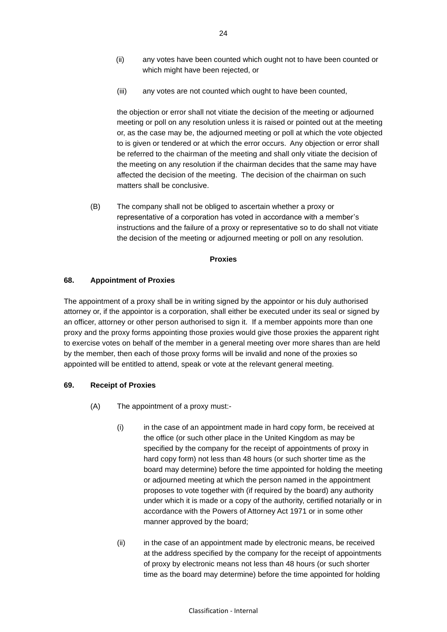- (ii) any votes have been counted which ought not to have been counted or which might have been rejected, or
- (iii) any votes are not counted which ought to have been counted,

the objection or error shall not vitiate the decision of the meeting or adjourned meeting or poll on any resolution unless it is raised or pointed out at the meeting or, as the case may be, the adjourned meeting or poll at which the vote objected to is given or tendered or at which the error occurs. Any objection or error shall be referred to the chairman of the meeting and shall only vitiate the decision of the meeting on any resolution if the chairman decides that the same may have affected the decision of the meeting. The decision of the chairman on such matters shall be conclusive.

(B) The company shall not be obliged to ascertain whether a proxy or representative of a corporation has voted in accordance with a member's instructions and the failure of a proxy or representative so to do shall not vitiate the decision of the meeting or adjourned meeting or poll on any resolution.

#### **Proxies**

#### **68. Appointment of Proxies**

The appointment of a proxy shall be in writing signed by the appointor or his duly authorised attorney or, if the appointor is a corporation, shall either be executed under its seal or signed by an officer, attorney or other person authorised to sign it. If a member appoints more than one proxy and the proxy forms appointing those proxies would give those proxies the apparent right to exercise votes on behalf of the member in a general meeting over more shares than are held by the member, then each of those proxy forms will be invalid and none of the proxies so appointed will be entitled to attend, speak or vote at the relevant general meeting.

### **69. Receipt of Proxies**

- (A) The appointment of a proxy must:-
	- (i) in the case of an appointment made in hard copy form, be received at the office (or such other place in the United Kingdom as may be specified by the company for the receipt of appointments of proxy in hard copy form) not less than 48 hours (or such shorter time as the board may determine) before the time appointed for holding the meeting or adjourned meeting at which the person named in the appointment proposes to vote together with (if required by the board) any authority under which it is made or a copy of the authority, certified notarially or in accordance with the Powers of Attorney Act 1971 or in some other manner approved by the board;
	- (ii) in the case of an appointment made by electronic means, be received at the address specified by the company for the receipt of appointments of proxy by electronic means not less than 48 hours (or such shorter time as the board may determine) before the time appointed for holding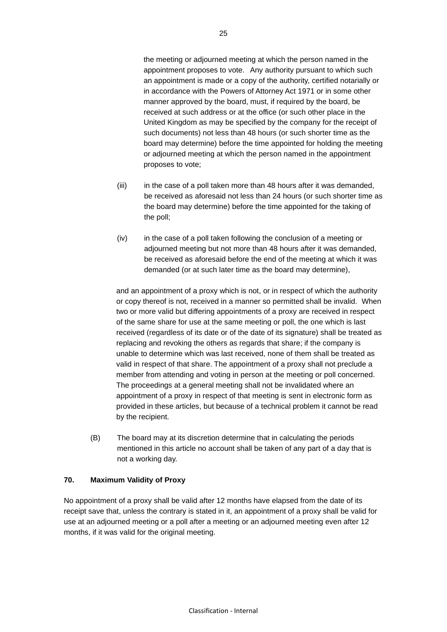the meeting or adjourned meeting at which the person named in the appointment proposes to vote. Any authority pursuant to which such an appointment is made or a copy of the authority, certified notarially or in accordance with the Powers of Attorney Act 1971 or in some other manner approved by the board, must, if required by the board, be received at such address or at the office (or such other place in the United Kingdom as may be specified by the company for the receipt of such documents) not less than 48 hours (or such shorter time as the board may determine) before the time appointed for holding the meeting or adjourned meeting at which the person named in the appointment proposes to vote;

- (iii) in the case of a poll taken more than 48 hours after it was demanded, be received as aforesaid not less than 24 hours (or such shorter time as the board may determine) before the time appointed for the taking of the poll;
- (iv) in the case of a poll taken following the conclusion of a meeting or adjourned meeting but not more than 48 hours after it was demanded, be received as aforesaid before the end of the meeting at which it was demanded (or at such later time as the board may determine),

and an appointment of a proxy which is not, or in respect of which the authority or copy thereof is not, received in a manner so permitted shall be invalid. When two or more valid but differing appointments of a proxy are received in respect of the same share for use at the same meeting or poll, the one which is last received (regardless of its date or of the date of its signature) shall be treated as replacing and revoking the others as regards that share; if the company is unable to determine which was last received, none of them shall be treated as valid in respect of that share. The appointment of a proxy shall not preclude a member from attending and voting in person at the meeting or poll concerned. The proceedings at a general meeting shall not be invalidated where an appointment of a proxy in respect of that meeting is sent in electronic form as provided in these articles, but because of a technical problem it cannot be read by the recipient.

(B) The board may at its discretion determine that in calculating the periods mentioned in this article no account shall be taken of any part of a day that is not a working day.

## **70. Maximum Validity of Proxy**

No appointment of a proxy shall be valid after 12 months have elapsed from the date of its receipt save that, unless the contrary is stated in it, an appointment of a proxy shall be valid for use at an adjourned meeting or a poll after a meeting or an adjourned meeting even after 12 months, if it was valid for the original meeting.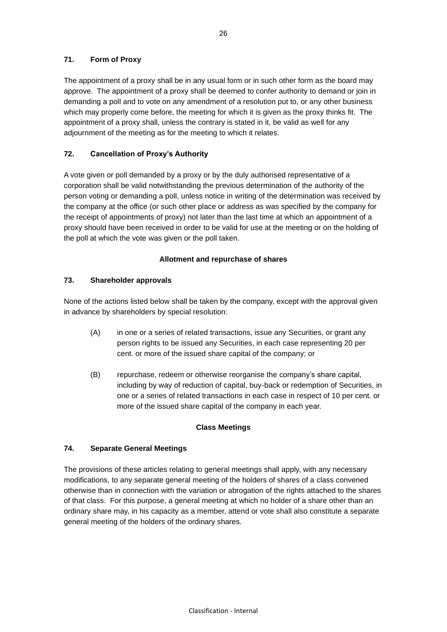### **71. Form of Proxy**

The appointment of a proxy shall be in any usual form or in such other form as the board may approve. The appointment of a proxy shall be deemed to confer authority to demand or join in demanding a poll and to vote on any amendment of a resolution put to, or any other business which may properly come before, the meeting for which it is given as the proxy thinks fit. The appointment of a proxy shall, unless the contrary is stated in it, be valid as well for any adjournment of the meeting as for the meeting to which it relates.

### **72. Cancellation of Proxy's Authority**

A vote given or poll demanded by a proxy or by the duly authorised representative of a corporation shall be valid notwithstanding the previous determination of the authority of the person voting or demanding a poll, unless notice in writing of the determination was received by the company at the office (or such other place or address as was specified by the company for the receipt of appointments of proxy) not later than the last time at which an appointment of a proxy should have been received in order to be valid for use at the meeting or on the holding of the poll at which the vote was given or the poll taken.

### **Allotment and repurchase of shares**

### <span id="page-32-0"></span>**73. Shareholder approvals**

None of the actions listed below shall be taken by the company, except with the approval given in advance by shareholders by special resolution:

- (A) in one or a series of related transactions, issue any Securities, or grant any person rights to be issued any Securities, in each case representing 20 per cent. or more of the issued share capital of the company; or
- (B) repurchase, redeem or otherwise reorganise the company's share capital, including by way of reduction of capital, buy-back or redemption of Securities, in one or a series of related transactions in each case in respect of 10 per cent. or more of the issued share capital of the company in each year.

### **Class Meetings**

### **74. Separate General Meetings**

The provisions of these articles relating to general meetings shall apply, with any necessary modifications, to any separate general meeting of the holders of shares of a class convened otherwise than in connection with the variation or abrogation of the rights attached to the shares of that class. For this purpose, a general meeting at which no holder of a share other than an ordinary share may, in his capacity as a member, attend or vote shall also constitute a separate general meeting of the holders of the ordinary shares.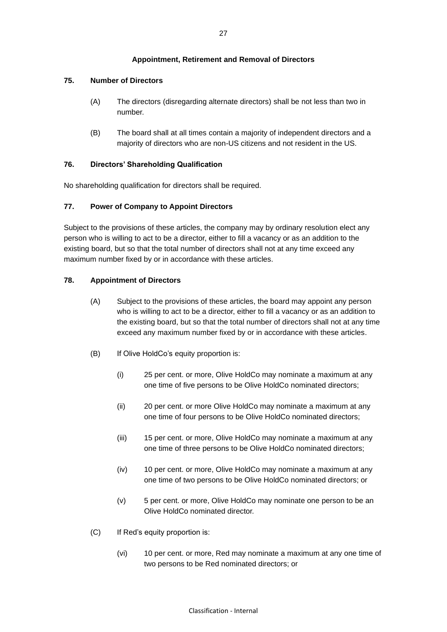### **Appointment, Retirement and Removal of Directors**

### **75. Number of Directors**

- (A) The directors (disregarding alternate directors) shall be not less than two in number.
- (B) The board shall at all times contain a majority of independent directors and a majority of directors who are non-US citizens and not resident in the US.

### **76. Directors' Shareholding Qualification**

No shareholding qualification for directors shall be required.

### **77. Power of Company to Appoint Directors**

Subject to the provisions of these articles, the company may by ordinary resolution elect any person who is willing to act to be a director, either to fill a vacancy or as an addition to the existing board, but so that the total number of directors shall not at any time exceed any maximum number fixed by or in accordance with these articles.

### <span id="page-33-0"></span>**78. Appointment of Directors**

- (A) Subject to the provisions of these articles, the board may appoint any person who is willing to act to be a director, either to fill a vacancy or as an addition to the existing board, but so that the total number of directors shall not at any time exceed any maximum number fixed by or in accordance with these articles.
- <span id="page-33-1"></span>(B) If Olive HoldCo's equity proportion is:
	- (i) 25 per cent. or more, Olive HoldCo may nominate a maximum at any one time of five persons to be Olive HoldCo nominated directors;
	- (ii) 20 per cent. or more Olive HoldCo may nominate a maximum at any one time of four persons to be Olive HoldCo nominated directors;
	- (iii) 15 per cent. or more, Olive HoldCo may nominate a maximum at any one time of three persons to be Olive HoldCo nominated directors;
	- (iv) 10 per cent. or more, Olive HoldCo may nominate a maximum at any one time of two persons to be Olive HoldCo nominated directors; or
	- (v) 5 per cent. or more, Olive HoldCo may nominate one person to be an Olive HoldCo nominated director.
- <span id="page-33-2"></span>(C) If Red's equity proportion is:
	- (vi) 10 per cent. or more, Red may nominate a maximum at any one time of two persons to be Red nominated directors; or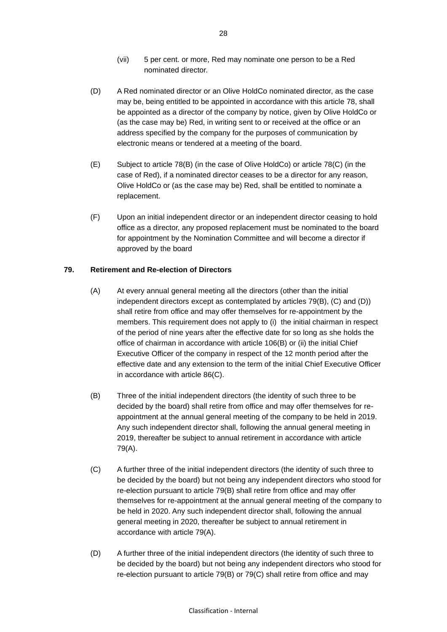- (vii) 5 per cent. or more, Red may nominate one person to be a Red nominated director.
- <span id="page-34-5"></span>(D) A Red nominated director or an Olive HoldCo nominated director, as the case may be, being entitled to be appointed in accordance with this article [78,](#page-33-0) shall be appointed as a director of the company by notice, given by Olive HoldCo or (as the case may be) Red, in writing sent to or received at the office or an address specified by the company for the purposes of communication by electronic means or tendered at a meeting of the board.
- <span id="page-34-6"></span>(E) Subject to article 78(B) (in the case of Olive HoldCo) or article 78(C) (in the case of Red), if a nominated director ceases to be a director for any reason, Olive HoldCo or (as the case may be) Red, shall be entitled to nominate a replacement.
- (F) Upon an initial independent director or an independent director ceasing to hold office as a director, any proposed replacement must be nominated to the board for appointment by the Nomination Committee and will become a director if approved by the board

### <span id="page-34-4"></span><span id="page-34-3"></span>**79. Retirement and Re-election of Directors**

- (A) At every annual general meeting all the directors (other than the initial independent directors except as contemplated by articles 79(B), (C) and (D)) shall retire from office and may offer themselves for re-appointment by the members. This requirement does not apply to (i) the initial chairman in respect of the period of nine years after the effective date for so long as she holds the office of chairman in accordance with article [106\(B\)](#page-47-0) or (ii) the initial Chief Executive Officer of the company in respect of the 12 month period after the effective date and any extension to the term of the initial Chief Executive Officer in accordance with article [86\(C\).](#page-37-0)
- <span id="page-34-0"></span>(B) Three of the initial independent directors (the identity of such three to be decided by the board) shall retire from office and may offer themselves for reappointment at the annual general meeting of the company to be held in 2019. Any such independent director shall, following the annual general meeting in 2019, thereafter be subject to annual retirement in accordance with article 79(A).
- <span id="page-34-1"></span>(C) A further three of the initial independent directors (the identity of such three to be decided by the board) but not being any independent directors who stood for re-election pursuant to article [79](#page-34-3)[\(B\)](#page-34-0) shall retire from office and may offer themselves for re-appointment at the annual general meeting of the company to be held in 2020. Any such independent director shall, following the annual general meeting in 2020, thereafter be subject to annual retirement in accordance with article 79(A).
- <span id="page-34-2"></span>(D) A further three of the initial independent directors (the identity of such three to be decided by the board) but not being any independent directors who stood for re-election pursuant to article [79](#page-34-3)[\(B\)](#page-34-0) or [79](#page-34-3)[\(C\)](#page-34-1) shall retire from office and may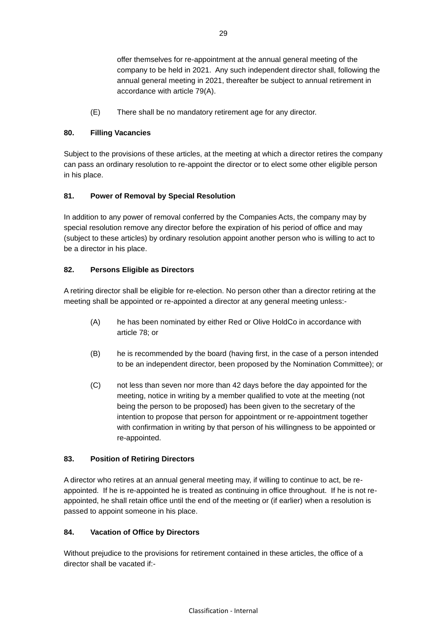offer themselves for re-appointment at the annual general meeting of the company to be held in 2021. Any such independent director shall, following the annual general meeting in 2021, thereafter be subject to annual retirement in accordance with article [79\(A\).](#page-34-4)

(E) There shall be no mandatory retirement age for any director.

### **80. Filling Vacancies**

Subject to the provisions of these articles, at the meeting at which a director retires the company can pass an ordinary resolution to re-appoint the director or to elect some other eligible person in his place.

### **81. Power of Removal by Special Resolution**

In addition to any power of removal conferred by the Companies Acts, the company may by special resolution remove any director before the expiration of his period of office and may (subject to these articles) by ordinary resolution appoint another person who is willing to act to be a director in his place.

### **82. Persons Eligible as Directors**

A retiring director shall be eligible for re-election. No person other than a director retiring at the meeting shall be appointed or re-appointed a director at any general meeting unless:-

- <span id="page-35-1"></span>(A) he has been nominated by either Red or Olive HoldCo in accordance with article 78; or
- (B) he is recommended by the board (having first, in the case of a person intended to be an independent director, been proposed by the Nomination Committee); or
- (C) not less than seven nor more than 42 days before the day appointed for the meeting, notice in writing by a member qualified to vote at the meeting (not being the person to be proposed) has been given to the secretary of the intention to propose that person for appointment or re-appointment together with confirmation in writing by that person of his willingness to be appointed or re-appointed.

## **83. Position of Retiring Directors**

A director who retires at an annual general meeting may, if willing to continue to act, be reappointed. If he is re-appointed he is treated as continuing in office throughout. If he is not reappointed, he shall retain office until the end of the meeting or (if earlier) when a resolution is passed to appoint someone in his place.

## <span id="page-35-0"></span>**84. Vacation of Office by Directors**

Without prejudice to the provisions for retirement contained in these articles, the office of a director shall be vacated if:-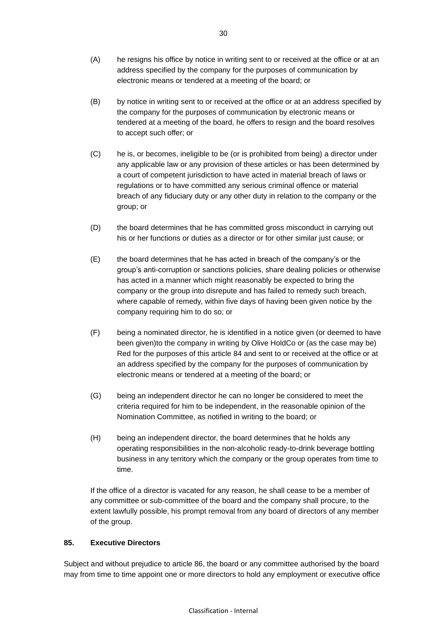- (A) he resigns his office by notice in writing sent to or received at the office or at an address specified by the company for the purposes of communication by electronic means or tendered at a meeting of the board; or
- (B) by notice in writing sent to or received at the office or at an address specified by the company for the purposes of communication by electronic means or tendered at a meeting of the board, he offers to resign and the board resolves to accept such offer; or
- (C) he is, or becomes, ineligible to be (or is prohibited from being) a director under any applicable law or any provision of these articles or has been determined by a court of competent jurisdiction to have acted in material breach of laws or regulations or to have committed any serious criminal offence or material breach of any fiduciary duty or any other duty in relation to the company or the group; or
- (D) the board determines that he has committed gross misconduct in carrying out his or her functions or duties as a director or for other similar just cause; or
- (E) the board determines that he has acted in breach of the company's or the group's anti-corruption or sanctions policies, share dealing policies or otherwise has acted in a manner which might reasonably be expected to bring the company or the group into disrepute and has failed to remedy such breach, where capable of remedy, within five days of having been given notice by the company requiring him to do so; or
- <span id="page-36-0"></span>(F) being a nominated director, he is identified in a notice given (or deemed to have been given)to the company in writing by Olive HoldCo or (as the case may be) Red for the purposes of this article [84](#page-35-0) and sent to or received at the office or at an address specified by the company for the purposes of communication by electronic means or tendered at a meeting of the board; or
- (G) being an independent director he can no longer be considered to meet the criteria required for him to be independent, in the reasonable opinion of the Nomination Committee, as notified in writing to the board; or
- (H) being an independent director, the board determines that he holds any operating responsibilities in the non-alcoholic ready-to-drink beverage bottling business in any territory which the company or the group operates from time to time.

If the office of a director is vacated for any reason, he shall cease to be a member of any committee or sub-committee of the board and the company shall procure, to the extent lawfully possible, his prompt removal from any board of directors of any member of the group.

### **85. Executive Directors**

Subject and without prejudice to article 86, the board or any committee authorised by the board may from time to time appoint one or more directors to hold any employment or executive office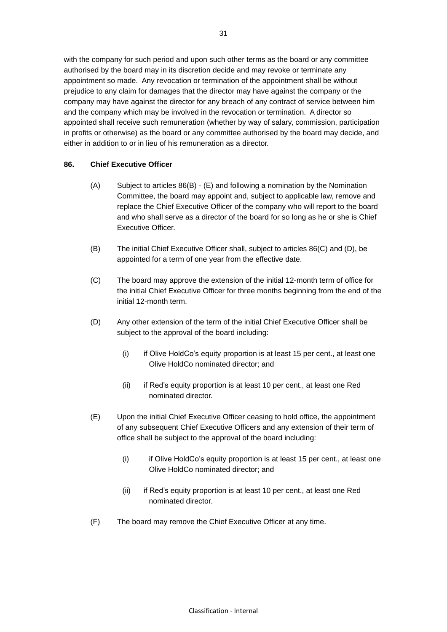with the company for such period and upon such other terms as the board or any committee authorised by the board may in its discretion decide and may revoke or terminate any appointment so made. Any revocation or termination of the appointment shall be without prejudice to any claim for damages that the director may have against the company or the company may have against the director for any breach of any contract of service between him and the company which may be involved in the revocation or termination. A director so appointed shall receive such remuneration (whether by way of salary, commission, participation in profits or otherwise) as the board or any committee authorised by the board may decide, and either in addition to or in lieu of his remuneration as a director.

### **86. Chief Executive Officer**

- (A) Subject to articles 86(B) (E) and following a nomination by the Nomination Committee, the board may appoint and, subject to applicable law, remove and replace the Chief Executive Officer of the company who will report to the board and who shall serve as a director of the board for so long as he or she is Chief Executive Officer.
- (B) The initial Chief Executive Officer shall, subject to articles 86(C) and (D), be appointed for a term of one year from the effective date.
- <span id="page-37-0"></span>(C) The board may approve the extension of the initial 12-month term of office for the initial Chief Executive Officer for three months beginning from the end of the initial 12-month term.
- <span id="page-37-1"></span>(D) Any other extension of the term of the initial Chief Executive Officer shall be subject to the approval of the board including:
	- (i) if Olive HoldCo's equity proportion is at least 15 per cent., at least one Olive HoldCo nominated director; and
	- (ii) if Red's equity proportion is at least 10 per cent., at least one Red nominated director.
- <span id="page-37-2"></span>(E) Upon the initial Chief Executive Officer ceasing to hold office, the appointment of any subsequent Chief Executive Officers and any extension of their term of office shall be subject to the approval of the board including:
	- (i) if Olive HoldCo's equity proportion is at least 15 per cent., at least one Olive HoldCo nominated director; and
	- (ii) if Red's equity proportion is at least 10 per cent., at least one Red nominated director.
- (F) The board may remove the Chief Executive Officer at any time.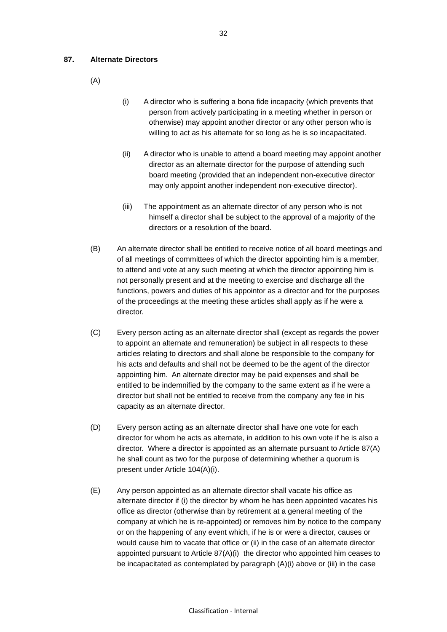#### <span id="page-38-0"></span>**87. Alternate Directors**

- (A)
- (i) A director who is suffering a bona fide incapacity (which prevents that person from actively participating in a meeting whether in person or otherwise) may appoint another director or any other person who is willing to act as his alternate for so long as he is so incapacitated.
- (ii) A director who is unable to attend a board meeting may appoint another director as an alternate director for the purpose of attending such board meeting (provided that an independent non-executive director may only appoint another independent non-executive director).
- (iii) The appointment as an alternate director of any person who is not himself a director shall be subject to the approval of a majority of the directors or a resolution of the board.
- (B) An alternate director shall be entitled to receive notice of all board meetings and of all meetings of committees of which the director appointing him is a member, to attend and vote at any such meeting at which the director appointing him is not personally present and at the meeting to exercise and discharge all the functions, powers and duties of his appointor as a director and for the purposes of the proceedings at the meeting these articles shall apply as if he were a director.
- (C) Every person acting as an alternate director shall (except as regards the power to appoint an alternate and remuneration) be subject in all respects to these articles relating to directors and shall alone be responsible to the company for his acts and defaults and shall not be deemed to be the agent of the director appointing him. An alternate director may be paid expenses and shall be entitled to be indemnified by the company to the same extent as if he were a director but shall not be entitled to receive from the company any fee in his capacity as an alternate director.
- (D) Every person acting as an alternate director shall have one vote for each director for whom he acts as alternate, in addition to his own vote if he is also a director. Where a director is appointed as an alternate pursuant to Article 87(A) he shall count as two for the purpose of determining whether a quorum is present under Article 104(A)(i).
- (E) Any person appointed as an alternate director shall vacate his office as alternate director if (i) the director by whom he has been appointed vacates his office as director (otherwise than by retirement at a general meeting of the company at which he is re-appointed) or removes him by notice to the company or on the happening of any event which, if he is or were a director, causes or would cause him to vacate that office or (ii) in the case of an alternate director appointed pursuant to Article 87(A)(i) the director who appointed him ceases to be incapacitated as contemplated by paragraph (A)(i) above or (iii) in the case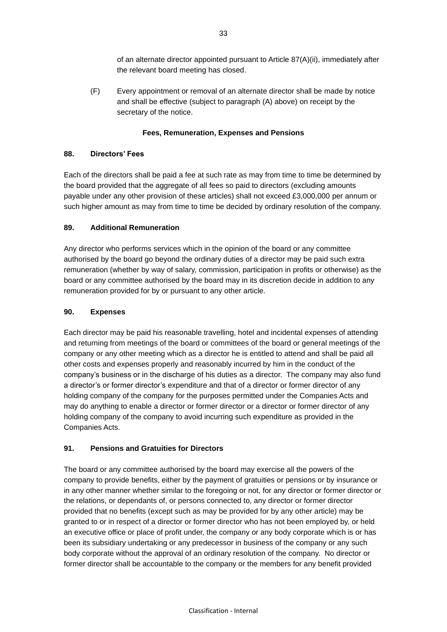of an alternate director appointed pursuant to Article 87(A)(ii), immediately after the relevant board meeting has closed.

(F) Every appointment or removal of an alternate director shall be made by notice and shall be effective (subject to paragraph [\(A\) above\)](#page-38-0) on receipt by the secretary of the notice.

### **Fees, Remuneration, Expenses and Pensions**

### **88. Directors' Fees**

Each of the directors shall be paid a fee at such rate as may from time to time be determined by the board provided that the aggregate of all fees so paid to directors (excluding amounts payable under any other provision of these articles) shall not exceed £3,000,000 per annum or such higher amount as may from time to time be decided by ordinary resolution of the company.

### **89. Additional Remuneration**

Any director who performs services which in the opinion of the board or any committee authorised by the board go beyond the ordinary duties of a director may be paid such extra remuneration (whether by way of salary, commission, participation in profits or otherwise) as the board or any committee authorised by the board may in its discretion decide in addition to any remuneration provided for by or pursuant to any other article.

### **90. Expenses**

Each director may be paid his reasonable travelling, hotel and incidental expenses of attending and returning from meetings of the board or committees of the board or general meetings of the company or any other meeting which as a director he is entitled to attend and shall be paid all other costs and expenses properly and reasonably incurred by him in the conduct of the company's business or in the discharge of his duties as a director. The company may also fund a director's or former director's expenditure and that of a director or former director of any holding company of the company for the purposes permitted under the Companies Acts and may do anything to enable a director or former director or a director or former director of any holding company of the company to avoid incurring such expenditure as provided in the Companies Acts.

## **91. Pensions and Gratuities for Directors**

The board or any committee authorised by the board may exercise all the powers of the company to provide benefits, either by the payment of gratuities or pensions or by insurance or in any other manner whether similar to the foregoing or not, for any director or former director or the relations, or dependants of, or persons connected to, any director or former director provided that no benefits (except such as may be provided for by any other article) may be granted to or in respect of a director or former director who has not been employed by, or held an executive office or place of profit under, the company or any body corporate which is or has been its subsidiary undertaking or any predecessor in business of the company or any such body corporate without the approval of an ordinary resolution of the company. No director or former director shall be accountable to the company or the members for any benefit provided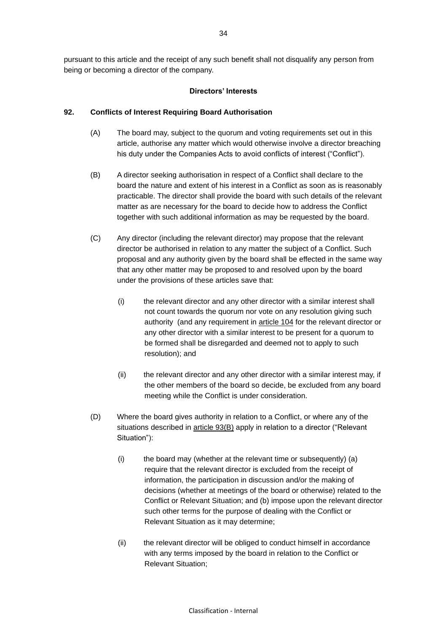pursuant to this article and the receipt of any such benefit shall not disqualify any person from being or becoming a director of the company.

#### **Directors' Interests**

#### <span id="page-40-0"></span>**92. Conflicts of Interest Requiring Board Authorisation**

- (A) The board may, subject to the quorum and voting requirements set out in this article, authorise any matter which would otherwise involve a director breaching his duty under the Companies Acts to avoid conflicts of interest ("Conflict").
- (B) A director seeking authorisation in respect of a Conflict shall declare to the board the nature and extent of his interest in a Conflict as soon as is reasonably practicable. The director shall provide the board with such details of the relevant matter as are necessary for the board to decide how to address the Conflict together with such additional information as may be requested by the board.
- (C) Any director (including the relevant director) may propose that the relevant director be authorised in relation to any matter the subject of a Conflict. Such proposal and any authority given by the board shall be effected in the same way that any other matter may be proposed to and resolved upon by the board under the provisions of these articles save that:
	- (i) the relevant director and any other director with a similar interest shall not count towards the quorum nor vote on any resolution giving such authority (and any requirement in article [104](#page-46-0) for the relevant director or any other director with a similar interest to be present for a quorum to be formed shall be disregarded and deemed not to apply to such resolution); and
	- (ii) the relevant director and any other director with a similar interest may, if the other members of the board so decide, be excluded from any board meeting while the Conflict is under consideration.
- (D) Where the board gives authority in relation to a Conflict, or where any of the situations described in article [93\(B\)](#page-41-0) apply in relation to a director ("Relevant Situation"):
	- $(i)$  the board may (whether at the relevant time or subsequently) (a) require that the relevant director is excluded from the receipt of information, the participation in discussion and/or the making of decisions (whether at meetings of the board or otherwise) related to the Conflict or Relevant Situation; and (b) impose upon the relevant director such other terms for the purpose of dealing with the Conflict or Relevant Situation as it may determine;
	- (ii) the relevant director will be obliged to conduct himself in accordance with any terms imposed by the board in relation to the Conflict or Relevant Situation;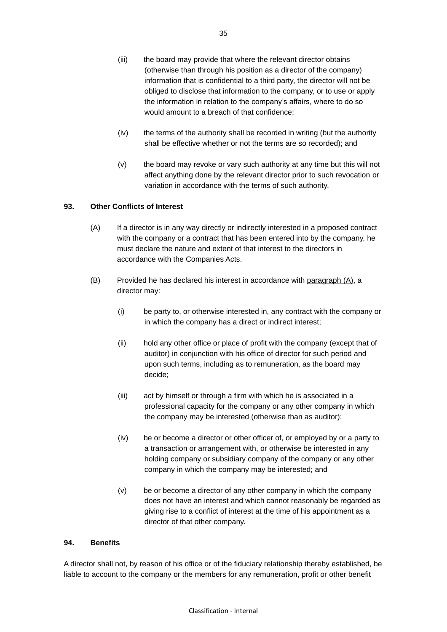- (iii) the board may provide that where the relevant director obtains (otherwise than through his position as a director of the company) information that is confidential to a third party, the director will not be obliged to disclose that information to the company, or to use or apply the information in relation to the company's affairs, where to do so would amount to a breach of that confidence;
- (iv) the terms of the authority shall be recorded in writing (but the authority shall be effective whether or not the terms are so recorded); and
- (v) the board may revoke or vary such authority at any time but this will not affect anything done by the relevant director prior to such revocation or variation in accordance with the terms of such authority.

### <span id="page-41-1"></span>**93. Other Conflicts of Interest**

- (A) If a director is in any way directly or indirectly interested in a proposed contract with the company or a contract that has been entered into by the company, he must declare the nature and extent of that interest to the directors in accordance with the Companies Acts.
- <span id="page-41-0"></span>(B) Provided he has declared his interest in accordance with paragraph (A), a director may:
	- (i) be party to, or otherwise interested in, any contract with the company or in which the company has a direct or indirect interest;
	- (ii) hold any other office or place of profit with the company (except that of auditor) in conjunction with his office of director for such period and upon such terms, including as to remuneration, as the board may decide;
	- (iii) act by himself or through a firm with which he is associated in a professional capacity for the company or any other company in which the company may be interested (otherwise than as auditor);
	- (iv) be or become a director or other officer of, or employed by or a party to a transaction or arrangement with, or otherwise be interested in any holding company or subsidiary company of the company or any other company in which the company may be interested; and
	- (v) be or become a director of any other company in which the company does not have an interest and which cannot reasonably be regarded as giving rise to a conflict of interest at the time of his appointment as a director of that other company.

# **94. Benefits**

A director shall not, by reason of his office or of the fiduciary relationship thereby established, be liable to account to the company or the members for any remuneration, profit or other benefit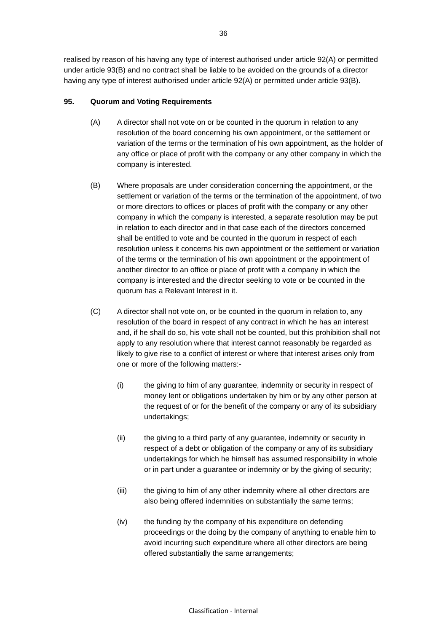realised by reason of his having any type of interest authorised under article [92\(](#page-40-0)A) or permitted under article [93\(](#page-41-1)B) and no contract shall be liable to be avoided on the grounds of a director having any type of interest authorised under article [92\(](#page-40-0)A) or permitted under article [93\(](#page-41-1)B).

### <span id="page-42-0"></span>**95. Quorum and Voting Requirements**

- (A) A director shall not vote on or be counted in the quorum in relation to any resolution of the board concerning his own appointment, or the settlement or variation of the terms or the termination of his own appointment, as the holder of any office or place of profit with the company or any other company in which the company is interested.
- (B) Where proposals are under consideration concerning the appointment, or the settlement or variation of the terms or the termination of the appointment, of two or more directors to offices or places of profit with the company or any other company in which the company is interested, a separate resolution may be put in relation to each director and in that case each of the directors concerned shall be entitled to vote and be counted in the quorum in respect of each resolution unless it concerns his own appointment or the settlement or variation of the terms or the termination of his own appointment or the appointment of another director to an office or place of profit with a company in which the company is interested and the director seeking to vote or be counted in the quorum has a Relevant Interest in it.
- (C) A director shall not vote on, or be counted in the quorum in relation to, any resolution of the board in respect of any contract in which he has an interest and, if he shall do so, his vote shall not be counted, but this prohibition shall not apply to any resolution where that interest cannot reasonably be regarded as likely to give rise to a conflict of interest or where that interest arises only from one or more of the following matters:-
	- (i) the giving to him of any guarantee, indemnity or security in respect of money lent or obligations undertaken by him or by any other person at the request of or for the benefit of the company or any of its subsidiary undertakings;
	- (ii) the giving to a third party of any guarantee, indemnity or security in respect of a debt or obligation of the company or any of its subsidiary undertakings for which he himself has assumed responsibility in whole or in part under a guarantee or indemnity or by the giving of security;
	- (iii) the giving to him of any other indemnity where all other directors are also being offered indemnities on substantially the same terms;
	- (iv) the funding by the company of his expenditure on defending proceedings or the doing by the company of anything to enable him to avoid incurring such expenditure where all other directors are being offered substantially the same arrangements;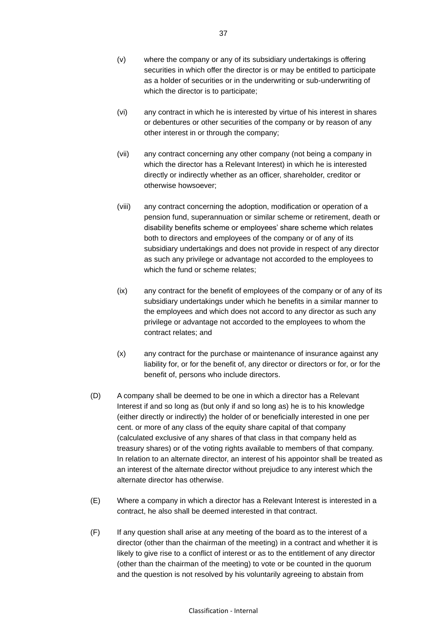- (v) where the company or any of its subsidiary undertakings is offering securities in which offer the director is or may be entitled to participate as a holder of securities or in the underwriting or sub-underwriting of which the director is to participate;
- (vi) any contract in which he is interested by virtue of his interest in shares or debentures or other securities of the company or by reason of any other interest in or through the company;
- (vii) any contract concerning any other company (not being a company in which the director has a Relevant Interest) in which he is interested directly or indirectly whether as an officer, shareholder, creditor or otherwise howsoever;
- (viii) any contract concerning the adoption, modification or operation of a pension fund, superannuation or similar scheme or retirement, death or disability benefits scheme or employees' share scheme which relates both to directors and employees of the company or of any of its subsidiary undertakings and does not provide in respect of any director as such any privilege or advantage not accorded to the employees to which the fund or scheme relates;
- (ix) any contract for the benefit of employees of the company or of any of its subsidiary undertakings under which he benefits in a similar manner to the employees and which does not accord to any director as such any privilege or advantage not accorded to the employees to whom the contract relates; and
- (x) any contract for the purchase or maintenance of insurance against any liability for, or for the benefit of, any director or directors or for, or for the benefit of, persons who include directors.
- (D) A company shall be deemed to be one in which a director has a Relevant Interest if and so long as (but only if and so long as) he is to his knowledge (either directly or indirectly) the holder of or beneficially interested in one per cent. or more of any class of the equity share capital of that company (calculated exclusive of any shares of that class in that company held as treasury shares) or of the voting rights available to members of that company. In relation to an alternate director, an interest of his appointor shall be treated as an interest of the alternate director without prejudice to any interest which the alternate director has otherwise.
- (E) Where a company in which a director has a Relevant Interest is interested in a contract, he also shall be deemed interested in that contract.
- (F) If any question shall arise at any meeting of the board as to the interest of a director (other than the chairman of the meeting) in a contract and whether it is likely to give rise to a conflict of interest or as to the entitlement of any director (other than the chairman of the meeting) to vote or be counted in the quorum and the question is not resolved by his voluntarily agreeing to abstain from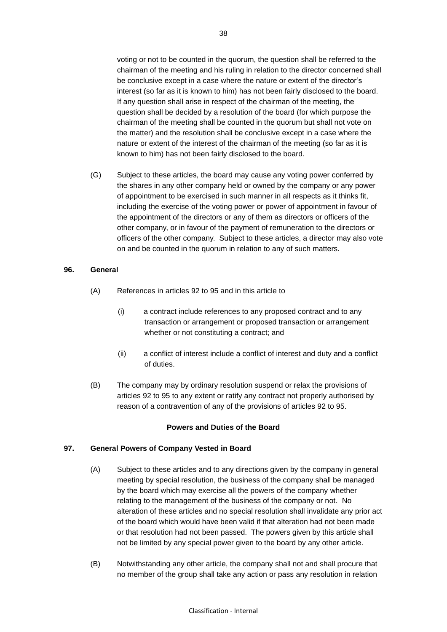voting or not to be counted in the quorum, the question shall be referred to the chairman of the meeting and his ruling in relation to the director concerned shall be conclusive except in a case where the nature or extent of the director's interest (so far as it is known to him) has not been fairly disclosed to the board. If any question shall arise in respect of the chairman of the meeting, the question shall be decided by a resolution of the board (for which purpose the chairman of the meeting shall be counted in the quorum but shall not vote on the matter) and the resolution shall be conclusive except in a case where the nature or extent of the interest of the chairman of the meeting (so far as it is known to him) has not been fairly disclosed to the board.

(G) Subject to these articles, the board may cause any voting power conferred by the shares in any other company held or owned by the company or any power of appointment to be exercised in such manner in all respects as it thinks fit, including the exercise of the voting power or power of appointment in favour of the appointment of the directors or any of them as directors or officers of the other company, or in favour of the payment of remuneration to the directors or officers of the other company. Subject to these articles, a director may also vote on and be counted in the quorum in relation to any of such matters.

#### **96. General**

- (A) References in articles [92](#page-40-0) to [95](#page-42-0) and in this article to
	- (i) a contract include references to any proposed contract and to any transaction or arrangement or proposed transaction or arrangement whether or not constituting a contract; and
	- (ii) a conflict of interest include a conflict of interest and duty and a conflict of duties.
- (B) The company may by ordinary resolution suspend or relax the provisions of articles [92](#page-40-0) to [95](#page-42-0) to any extent or ratify any contract not properly authorised by reason of a contravention of any of the provisions of articles [92](#page-40-0) to [95.](#page-42-0)

#### **Powers and Duties of the Board**

#### **97. General Powers of Company Vested in Board**

- (A) Subject to these articles and to any directions given by the company in general meeting by special resolution, the business of the company shall be managed by the board which may exercise all the powers of the company whether relating to the management of the business of the company or not. No alteration of these articles and no special resolution shall invalidate any prior act of the board which would have been valid if that alteration had not been made or that resolution had not been passed. The powers given by this article shall not be limited by any special power given to the board by any other article.
- <span id="page-44-0"></span>(B) Notwithstanding any other article, the company shall not and shall procure that no member of the group shall take any action or pass any resolution in relation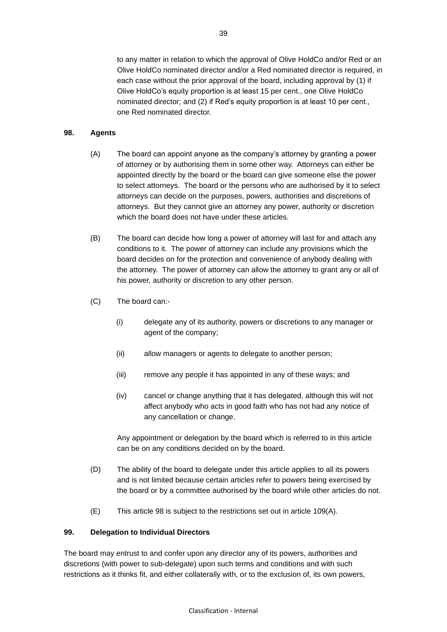to any matter in relation to which the approval of Olive HoldCo and/or Red or an Olive HoldCo nominated director and/or a Red nominated director is required, in each case without the prior approval of the board, including approval by (1) if Olive HoldCo's equity proportion is at least 15 per cent., one Olive HoldCo nominated director; and (2) if Red's equity proportion is at least 10 per cent., one Red nominated director.

### <span id="page-45-0"></span>**98. Agents**

- (A) The board can appoint anyone as the company's attorney by granting a power of attorney or by authorising them in some other way. Attorneys can either be appointed directly by the board or the board can give someone else the power to select attorneys. The board or the persons who are authorised by it to select attorneys can decide on the purposes, powers, authorities and discretions of attorneys. But they cannot give an attorney any power, authority or discretion which the board does not have under these articles.
- (B) The board can decide how long a power of attorney will last for and attach any conditions to it. The power of attorney can include any provisions which the board decides on for the protection and convenience of anybody dealing with the attorney. The power of attorney can allow the attorney to grant any or all of his power, authority or discretion to any other person.
- (C) The board can:-
	- (i) delegate any of its authority, powers or discretions to any manager or agent of the company;
	- (ii) allow managers or agents to delegate to another person;
	- (iii) remove any people it has appointed in any of these ways; and
	- (iv) cancel or change anything that it has delegated, although this will not affect anybody who acts in good faith who has not had any notice of any cancellation or change.

Any appointment or delegation by the board which is referred to in this article can be on any conditions decided on by the board.

- (D) The ability of the board to delegate under this article applies to all its powers and is not limited because certain articles refer to powers being exercised by the board or by a committee authorised by the board while other articles do not.
- (E) This article [98](#page-45-0) is subject to the restrictions set out in article [109\(A\).](#page-49-0)

### **99. Delegation to Individual Directors**

The board may entrust to and confer upon any director any of its powers, authorities and discretions (with power to sub-delegate) upon such terms and conditions and with such restrictions as it thinks fit, and either collaterally with, or to the exclusion of, its own powers,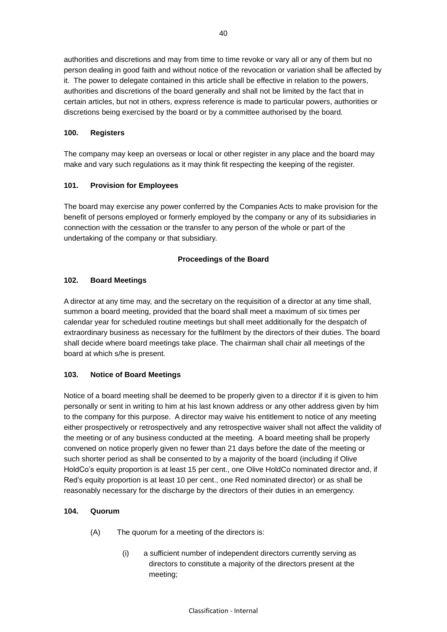authorities and discretions and may from time to time revoke or vary all or any of them but no person dealing in good faith and without notice of the revocation or variation shall be affected by it. The power to delegate contained in this article shall be effective in relation to the powers, authorities and discretions of the board generally and shall not be limited by the fact that in certain articles, but not in others, express reference is made to particular powers, authorities or discretions being exercised by the board or by a committee authorised by the board.

### **100. Registers**

The company may keep an overseas or local or other register in any place and the board may make and vary such regulations as it may think fit respecting the keeping of the register.

### **101. Provision for Employees**

The board may exercise any power conferred by the Companies Acts to make provision for the benefit of persons employed or formerly employed by the company or any of its subsidiaries in connection with the cessation or the transfer to any person of the whole or part of the undertaking of the company or that subsidiary.

### **Proceedings of the Board**

### **102. Board Meetings**

A director at any time may, and the secretary on the requisition of a director at any time shall, summon a board meeting, provided that the board shall meet a maximum of six times per calendar year for scheduled routine meetings but shall meet additionally for the despatch of extraordinary business as necessary for the fulfilment by the directors of their duties. The board shall decide where board meetings take place. The chairman shall chair all meetings of the board at which s/he is present.

## <span id="page-46-1"></span>**103. Notice of Board Meetings**

Notice of a board meeting shall be deemed to be properly given to a director if it is given to him personally or sent in writing to him at his last known address or any other address given by him to the company for this purpose. A director may waive his entitlement to notice of any meeting either prospectively or retrospectively and any retrospective waiver shall not affect the validity of the meeting or of any business conducted at the meeting. A board meeting shall be properly convened on notice properly given no fewer than 21 days before the date of the meeting or such shorter period as shall be consented to by a majority of the board (including if Olive HoldCo's equity proportion is at least 15 per cent., one Olive HoldCo nominated director and, if Red's equity proportion is at least 10 per cent., one Red nominated director) or as shall be reasonably necessary for the discharge by the directors of their duties in an emergency.

### <span id="page-46-2"></span><span id="page-46-0"></span>**104. Quorum**

- (A) The quorum for a meeting of the directors is:
	- (i) a sufficient number of independent directors currently serving as directors to constitute a majority of the directors present at the meeting;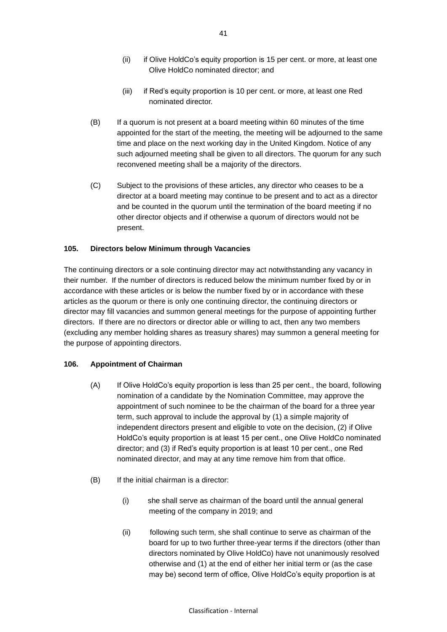- (ii) if Olive HoldCo's equity proportion is 15 per cent. or more, at least one Olive HoldCo nominated director; and
- (iii) if Red's equity proportion is 10 per cent. or more, at least one Red nominated director.
- (B) If a quorum is not present at a board meeting within 60 minutes of the time appointed for the start of the meeting, the meeting will be adjourned to the same time and place on the next working day in the United Kingdom. Notice of any such adjourned meeting shall be given to all directors. The quorum for any such reconvened meeting shall be a majority of the directors.
- (C) Subject to the provisions of these articles, any director who ceases to be a director at a board meeting may continue to be present and to act as a director and be counted in the quorum until the termination of the board meeting if no other director objects and if otherwise a quorum of directors would not be present.

### **105. Directors below Minimum through Vacancies**

The continuing directors or a sole continuing director may act notwithstanding any vacancy in their number. If the number of directors is reduced below the minimum number fixed by or in accordance with these articles or is below the number fixed by or in accordance with these articles as the quorum or there is only one continuing director, the continuing directors or director may fill vacancies and summon general meetings for the purpose of appointing further directors. If there are no directors or director able or willing to act, then any two members (excluding any member holding shares as treasury shares) may summon a general meeting for the purpose of appointing directors.

### <span id="page-47-2"></span><span id="page-47-1"></span>**106. Appointment of Chairman**

- (A) If Olive HoldCo's equity proportion is less than 25 per cent., the board, following nomination of a candidate by the Nomination Committee, may approve the appointment of such nominee to be the chairman of the board for a three year term, such approval to include the approval by (1) a simple majority of independent directors present and eligible to vote on the decision, (2) if Olive HoldCo's equity proportion is at least 15 per cent., one Olive HoldCo nominated director; and (3) if Red's equity proportion is at least 10 per cent., one Red nominated director, and may at any time remove him from that office.
- <span id="page-47-0"></span>(B) If the initial chairman is a director:
	- (i) she shall serve as chairman of the board until the annual general meeting of the company in 2019; and
	- (ii) following such term, she shall continue to serve as chairman of the board for up to two further three-year terms if the directors (other than directors nominated by Olive HoldCo) have not unanimously resolved otherwise and (1) at the end of either her initial term or (as the case may be) second term of office, Olive HoldCo's equity proportion is at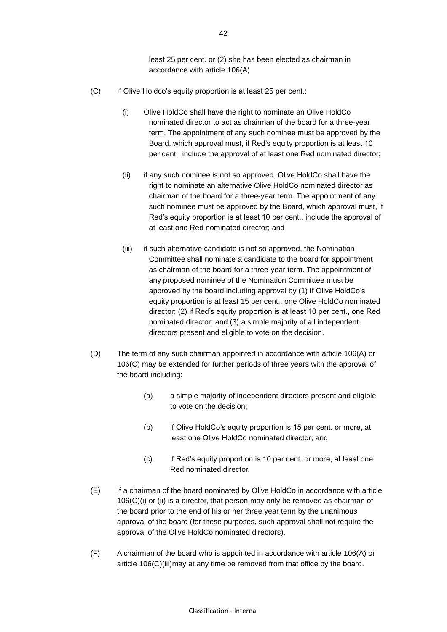least 25 per cent. or (2) she has been elected as chairman in accordance with article 106(A)

- <span id="page-48-0"></span>(C) If Olive Holdco's equity proportion is at least 25 per cent.:
	- (i) Olive HoldCo shall have the right to nominate an Olive HoldCo nominated director to act as chairman of the board for a three-year term. The appointment of any such nominee must be approved by the Board, which approval must, if Red's equity proportion is at least 10 per cent., include the approval of at least one Red nominated director;
	- (ii) if any such nominee is not so approved, Olive HoldCo shall have the right to nominate an alternative Olive HoldCo nominated director as chairman of the board for a three-year term. The appointment of any such nominee must be approved by the Board, which approval must, if Red's equity proportion is at least 10 per cent., include the approval of at least one Red nominated director; and
	- (iii) if such alternative candidate is not so approved, the Nomination Committee shall nominate a candidate to the board for appointment as chairman of the board for a three-year term. The appointment of any proposed nominee of the Nomination Committee must be approved by the board including approval by (1) if Olive HoldCo's equity proportion is at least 15 per cent., one Olive HoldCo nominated director; (2) if Red's equity proportion is at least 10 per cent., one Red nominated director; and (3) a simple majority of all independent directors present and eligible to vote on the decision.
- <span id="page-48-3"></span><span id="page-48-1"></span>(D) The term of any such chairman appointed in accordance with article [106\(A\)](#page-47-1) or [106\(C\)](#page-48-0) may be extended for further periods of three years with the approval of the board including:
	- (a) a simple majority of independent directors present and eligible to vote on the decision;
	- (b) if Olive HoldCo's equity proportion is 15 per cent. or more, at least one Olive HoldCo nominated director; and
	- (c) if Red's equity proportion is 10 per cent. or more, at least one Red nominated director.
- <span id="page-48-2"></span>(E) If a chairman of the board nominated by Olive HoldCo in accordance with article [106\(](#page-47-2)C)(i) or (ii) is a director, that person may only be removed as chairman of the board prior to the end of his or her three year term by the unanimous approval of the board (for these purposes, such approval shall not require the approval of the Olive HoldCo nominated directors).
- (F) A chairman of the board who is appointed in accordance with article [106\(A\)](#page-47-1) or article [106\(C\)\(iii\)m](#page-48-1)ay at any time be removed from that office by the board.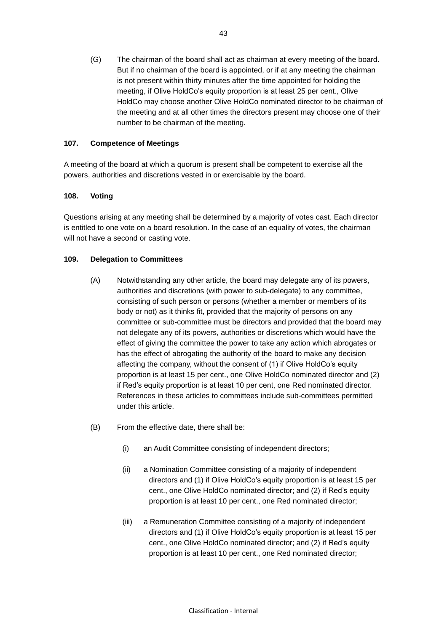<span id="page-49-2"></span>(G) The chairman of the board shall act as chairman at every meeting of the board. But if no chairman of the board is appointed, or if at any meeting the chairman is not present within thirty minutes after the time appointed for holding the meeting, if Olive HoldCo's equity proportion is at least 25 per cent., Olive HoldCo may choose another Olive HoldCo nominated director to be chairman of the meeting and at all other times the directors present may choose one of their number to be chairman of the meeting.

### **107. Competence of Meetings**

A meeting of the board at which a quorum is present shall be competent to exercise all the powers, authorities and discretions vested in or exercisable by the board.

### **108. Voting**

Questions arising at any meeting shall be determined by a majority of votes cast. Each director is entitled to one vote on a board resolution. In the case of an equality of votes, the chairman will not have a second or casting vote.

### <span id="page-49-1"></span><span id="page-49-0"></span>**109. Delegation to Committees**

- (A) Notwithstanding any other article, the board may delegate any of its powers, authorities and discretions (with power to sub-delegate) to any committee, consisting of such person or persons (whether a member or members of its body or not) as it thinks fit, provided that the majority of persons on any committee or sub-committee must be directors and provided that the board may not delegate any of its powers, authorities or discretions which would have the effect of giving the committee the power to take any action which abrogates or has the effect of abrogating the authority of the board to make any decision affecting the company, without the consent of (1) if Olive HoldCo's equity proportion is at least 15 per cent., one Olive HoldCo nominated director and (2) if Red's equity proportion is at least 10 per cent, one Red nominated director. References in these articles to committees include sub-committees permitted under this article.
- <span id="page-49-3"></span>(B) From the effective date, there shall be:
	- (i) an Audit Committee consisting of independent directors;
	- (ii) a Nomination Committee consisting of a majority of independent directors and (1) if Olive HoldCo's equity proportion is at least 15 per cent., one Olive HoldCo nominated director; and (2) if Red's equity proportion is at least 10 per cent., one Red nominated director;
	- (iii) a Remuneration Committee consisting of a majority of independent directors and (1) if Olive HoldCo's equity proportion is at least 15 per cent., one Olive HoldCo nominated director; and (2) if Red's equity proportion is at least 10 per cent., one Red nominated director;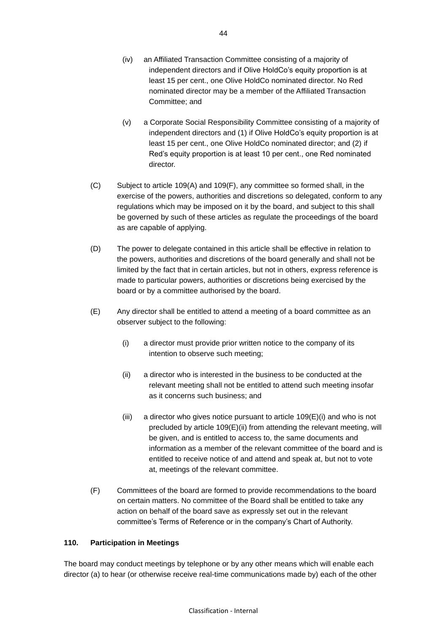- (iv) an Affiliated Transaction Committee consisting of a majority of independent directors and if Olive HoldCo's equity proportion is at least 15 per cent., one Olive HoldCo nominated director. No Red nominated director may be a member of the Affiliated Transaction Committee; and
- <span id="page-50-4"></span>(v) a Corporate Social Responsibility Committee consisting of a majority of independent directors and (1) if Olive HoldCo's equity proportion is at least 15 per cent., one Olive HoldCo nominated director; and (2) if Red's equity proportion is at least 10 per cent., one Red nominated director.
- (C) Subject to article [109\(A\)](#page-49-0) and [109\(F\),](#page-50-0) any committee so formed shall, in the exercise of the powers, authorities and discretions so delegated, conform to any regulations which may be imposed on it by the board, and subject to this shall be governed by such of these articles as regulate the proceedings of the board as are capable of applying.
- (D) The power to delegate contained in this article shall be effective in relation to the powers, authorities and discretions of the board generally and shall not be limited by the fact that in certain articles, but not in others, express reference is made to particular powers, authorities or discretions being exercised by the board or by a committee authorised by the board.
- <span id="page-50-3"></span><span id="page-50-2"></span><span id="page-50-1"></span>(E) Any director shall be entitled to attend a meeting of a board committee as an observer subject to the following:
	- (i) a director must provide prior written notice to the company of its intention to observe such meeting;
	- (ii) a director who is interested in the business to be conducted at the relevant meeting shall not be entitled to attend such meeting insofar as it concerns such business; and
	- $(iii)$  a director who gives notice pursuant to article [109](#page-49-1)( $E$ )[\(i\)](#page-50-2) and who is not precluded by article [109](#page-49-1)[\(E\)](#page-50-1)[\(ii\)](#page-50-3) from attending the relevant meeting, will be given, and is entitled to access to, the same documents and information as a member of the relevant committee of the board and is entitled to receive notice of and attend and speak at, but not to vote at, meetings of the relevant committee.
- <span id="page-50-0"></span>(F) Committees of the board are formed to provide recommendations to the board on certain matters. No committee of the Board shall be entitled to take any action on behalf of the board save as expressly set out in the relevant committee's Terms of Reference or in the company's Chart of Authority.

### <span id="page-50-5"></span>**110. Participation in Meetings**

The board may conduct meetings by telephone or by any other means which will enable each director (a) to hear (or otherwise receive real-time communications made by) each of the other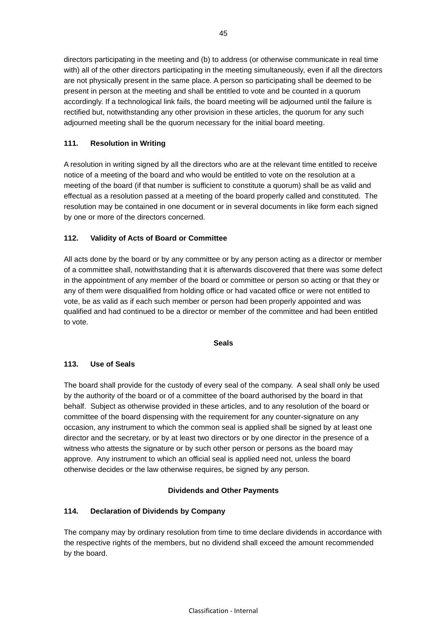directors participating in the meeting and (b) to address (or otherwise communicate in real time with) all of the other directors participating in the meeting simultaneously, even if all the directors are not physically present in the same place. A person so participating shall be deemed to be present in person at the meeting and shall be entitled to vote and be counted in a quorum accordingly. If a technological link fails, the board meeting will be adjourned until the failure is rectified but, notwithstanding any other provision in these articles, the quorum for any such adjourned meeting shall be the quorum necessary for the initial board meeting.

# **111. Resolution in Writing**

A resolution in writing signed by all the directors who are at the relevant time entitled to receive notice of a meeting of the board and who would be entitled to vote on the resolution at a meeting of the board (if that number is sufficient to constitute a quorum) shall be as valid and effectual as a resolution passed at a meeting of the board properly called and constituted. The resolution may be contained in one document or in several documents in like form each signed by one or more of the directors concerned.

# **112. Validity of Acts of Board or Committee**

All acts done by the board or by any committee or by any person acting as a director or member of a committee shall, notwithstanding that it is afterwards discovered that there was some defect in the appointment of any member of the board or committee or person so acting or that they or any of them were disqualified from holding office or had vacated office or were not entitled to vote, be as valid as if each such member or person had been properly appointed and was qualified and had continued to be a director or member of the committee and had been entitled to vote.

### **Seals**

## **113. Use of Seals**

The board shall provide for the custody of every seal of the company. A seal shall only be used by the authority of the board or of a committee of the board authorised by the board in that behalf. Subject as otherwise provided in these articles, and to any resolution of the board or committee of the board dispensing with the requirement for any counter-signature on any occasion, any instrument to which the common seal is applied shall be signed by at least one director and the secretary, or by at least two directors or by one director in the presence of a witness who attests the signature or by such other person or persons as the board may approve. Any instrument to which an official seal is applied need not, unless the board otherwise decides or the law otherwise requires, be signed by any person.

## **Dividends and Other Payments**

# **114. Declaration of Dividends by Company**

The company may by ordinary resolution from time to time declare dividends in accordance with the respective rights of the members, but no dividend shall exceed the amount recommended by the board.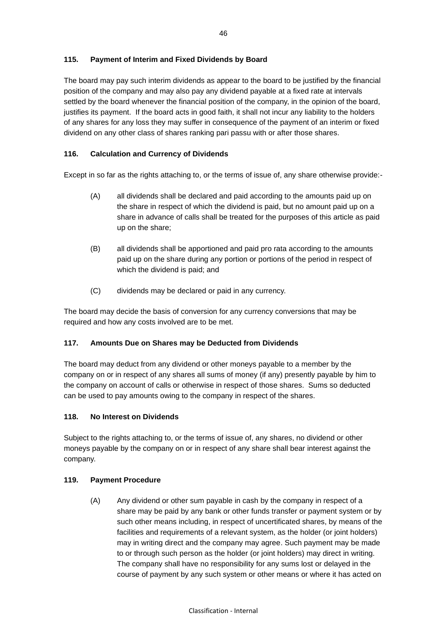### **115. Payment of Interim and Fixed Dividends by Board**

The board may pay such interim dividends as appear to the board to be justified by the financial position of the company and may also pay any dividend payable at a fixed rate at intervals settled by the board whenever the financial position of the company, in the opinion of the board, justifies its payment. If the board acts in good faith, it shall not incur any liability to the holders of any shares for any loss they may suffer in consequence of the payment of an interim or fixed dividend on any other class of shares ranking pari passu with or after those shares.

### **116. Calculation and Currency of Dividends**

Except in so far as the rights attaching to, or the terms of issue of, any share otherwise provide:-

- (A) all dividends shall be declared and paid according to the amounts paid up on the share in respect of which the dividend is paid, but no amount paid up on a share in advance of calls shall be treated for the purposes of this article as paid up on the share;
- (B) all dividends shall be apportioned and paid pro rata according to the amounts paid up on the share during any portion or portions of the period in respect of which the dividend is paid; and
- (C) dividends may be declared or paid in any currency.

The board may decide the basis of conversion for any currency conversions that may be required and how any costs involved are to be met.

### **117. Amounts Due on Shares may be Deducted from Dividends**

The board may deduct from any dividend or other moneys payable to a member by the company on or in respect of any shares all sums of money (if any) presently payable by him to the company on account of calls or otherwise in respect of those shares. Sums so deducted can be used to pay amounts owing to the company in respect of the shares.

### **118. No Interest on Dividends**

Subject to the rights attaching to, or the terms of issue of, any shares, no dividend or other moneys payable by the company on or in respect of any share shall bear interest against the company.

### **119. Payment Procedure**

(A) Any dividend or other sum payable in cash by the company in respect of a share may be paid by any bank or other funds transfer or payment system or by such other means including, in respect of uncertificated shares, by means of the facilities and requirements of a relevant system, as the holder (or joint holders) may in writing direct and the company may agree. Such payment may be made to or through such person as the holder (or joint holders) may direct in writing. The company shall have no responsibility for any sums lost or delayed in the course of payment by any such system or other means or where it has acted on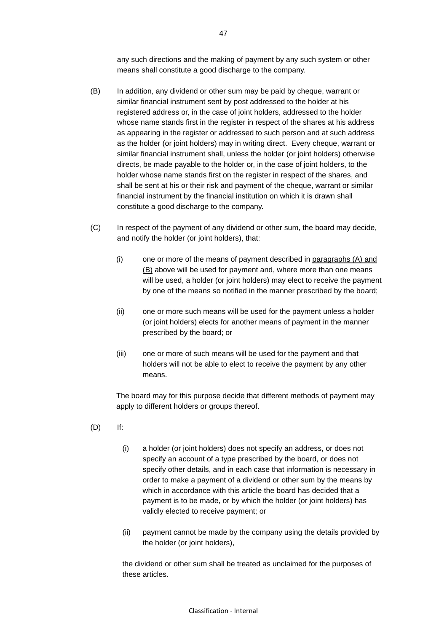any such directions and the making of payment by any such system or other means shall constitute a good discharge to the company.

- (B) In addition, any dividend or other sum may be paid by cheque, warrant or similar financial instrument sent by post addressed to the holder at his registered address or, in the case of joint holders, addressed to the holder whose name stands first in the register in respect of the shares at his address as appearing in the register or addressed to such person and at such address as the holder (or joint holders) may in writing direct. Every cheque, warrant or similar financial instrument shall, unless the holder (or joint holders) otherwise directs, be made payable to the holder or, in the case of joint holders, to the holder whose name stands first on the register in respect of the shares, and shall be sent at his or their risk and payment of the cheque, warrant or similar financial instrument by the financial institution on which it is drawn shall constitute a good discharge to the company.
- (C) In respect of the payment of any dividend or other sum, the board may decide, and notify the holder (or joint holders), that:
	- (i) one or more of the means of payment described in paragraphs (A) and (B) above will be used for payment and, where more than one means will be used, a holder (or joint holders) may elect to receive the payment by one of the means so notified in the manner prescribed by the board;
	- (ii) one or more such means will be used for the payment unless a holder (or joint holders) elects for another means of payment in the manner prescribed by the board; or
	- (iii) one or more of such means will be used for the payment and that holders will not be able to elect to receive the payment by any other means.

The board may for this purpose decide that different methods of payment may apply to different holders or groups thereof.

- (D) If:
	- (i) a holder (or joint holders) does not specify an address, or does not specify an account of a type prescribed by the board, or does not specify other details, and in each case that information is necessary in order to make a payment of a dividend or other sum by the means by which in accordance with this article the board has decided that a payment is to be made, or by which the holder (or joint holders) has validly elected to receive payment; or
	- (ii) payment cannot be made by the company using the details provided by the holder (or joint holders),

the dividend or other sum shall be treated as unclaimed for the purposes of these articles.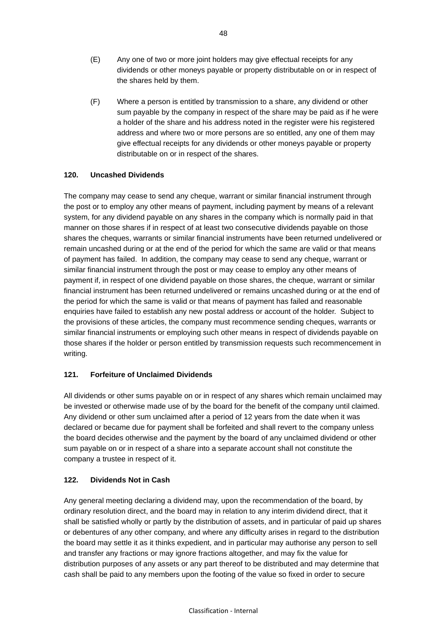- (E) Any one of two or more joint holders may give effectual receipts for any dividends or other moneys payable or property distributable on or in respect of the shares held by them.
- (F) Where a person is entitled by transmission to a share, any dividend or other sum payable by the company in respect of the share may be paid as if he were a holder of the share and his address noted in the register were his registered address and where two or more persons are so entitled, any one of them may give effectual receipts for any dividends or other moneys payable or property distributable on or in respect of the shares.

### **120. Uncashed Dividends**

The company may cease to send any cheque, warrant or similar financial instrument through the post or to employ any other means of payment, including payment by means of a relevant system, for any dividend payable on any shares in the company which is normally paid in that manner on those shares if in respect of at least two consecutive dividends payable on those shares the cheques, warrants or similar financial instruments have been returned undelivered or remain uncashed during or at the end of the period for which the same are valid or that means of payment has failed. In addition, the company may cease to send any cheque, warrant or similar financial instrument through the post or may cease to employ any other means of payment if, in respect of one dividend payable on those shares, the cheque, warrant or similar financial instrument has been returned undelivered or remains uncashed during or at the end of the period for which the same is valid or that means of payment has failed and reasonable enquiries have failed to establish any new postal address or account of the holder. Subject to the provisions of these articles, the company must recommence sending cheques, warrants or similar financial instruments or employing such other means in respect of dividends payable on those shares if the holder or person entitled by transmission requests such recommencement in writing.

## **121. Forfeiture of Unclaimed Dividends**

All dividends or other sums payable on or in respect of any shares which remain unclaimed may be invested or otherwise made use of by the board for the benefit of the company until claimed. Any dividend or other sum unclaimed after a period of 12 years from the date when it was declared or became due for payment shall be forfeited and shall revert to the company unless the board decides otherwise and the payment by the board of any unclaimed dividend or other sum payable on or in respect of a share into a separate account shall not constitute the company a trustee in respect of it.

## **122. Dividends Not in Cash**

Any general meeting declaring a dividend may, upon the recommendation of the board, by ordinary resolution direct, and the board may in relation to any interim dividend direct, that it shall be satisfied wholly or partly by the distribution of assets, and in particular of paid up shares or debentures of any other company, and where any difficulty arises in regard to the distribution the board may settle it as it thinks expedient, and in particular may authorise any person to sell and transfer any fractions or may ignore fractions altogether, and may fix the value for distribution purposes of any assets or any part thereof to be distributed and may determine that cash shall be paid to any members upon the footing of the value so fixed in order to secure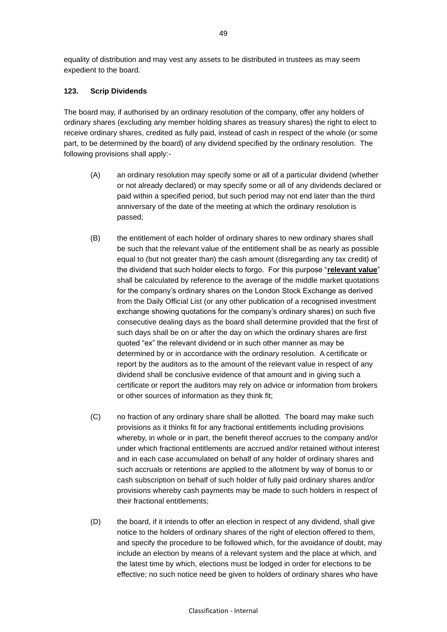equality of distribution and may vest any assets to be distributed in trustees as may seem expedient to the board.

### **123. Scrip Dividends**

The board may, if authorised by an ordinary resolution of the company, offer any holders of ordinary shares (excluding any member holding shares as treasury shares) the right to elect to receive ordinary shares, credited as fully paid, instead of cash in respect of the whole (or some part, to be determined by the board) of any dividend specified by the ordinary resolution. The following provisions shall apply:-

- (A) an ordinary resolution may specify some or all of a particular dividend (whether or not already declared) or may specify some or all of any dividends declared or paid within a specified period, but such period may not end later than the third anniversary of the date of the meeting at which the ordinary resolution is passed;
- (B) the entitlement of each holder of ordinary shares to new ordinary shares shall be such that the relevant value of the entitlement shall be as nearly as possible equal to (but not greater than) the cash amount (disregarding any tax credit) of the dividend that such holder elects to forgo. For this purpose "**relevant value**" shall be calculated by reference to the average of the middle market quotations for the company's ordinary shares on the London Stock Exchange as derived from the Daily Official List (or any other publication of a recognised investment exchange showing quotations for the company's ordinary shares) on such five consecutive dealing days as the board shall determine provided that the first of such days shall be on or after the day on which the ordinary shares are first quoted "ex" the relevant dividend or in such other manner as may be determined by or in accordance with the ordinary resolution. A certificate or report by the auditors as to the amount of the relevant value in respect of any dividend shall be conclusive evidence of that amount and in giving such a certificate or report the auditors may rely on advice or information from brokers or other sources of information as they think fit;
- (C) no fraction of any ordinary share shall be allotted. The board may make such provisions as it thinks fit for any fractional entitlements including provisions whereby, in whole or in part, the benefit thereof accrues to the company and/or under which fractional entitlements are accrued and/or retained without interest and in each case accumulated on behalf of any holder of ordinary shares and such accruals or retentions are applied to the allotment by way of bonus to or cash subscription on behalf of such holder of fully paid ordinary shares and/or provisions whereby cash payments may be made to such holders in respect of their fractional entitlements;
- (D) the board, if it intends to offer an election in respect of any dividend, shall give notice to the holders of ordinary shares of the right of election offered to them, and specify the procedure to be followed which, for the avoidance of doubt, may include an election by means of a relevant system and the place at which, and the latest time by which, elections must be lodged in order for elections to be effective; no such notice need be given to holders of ordinary shares who have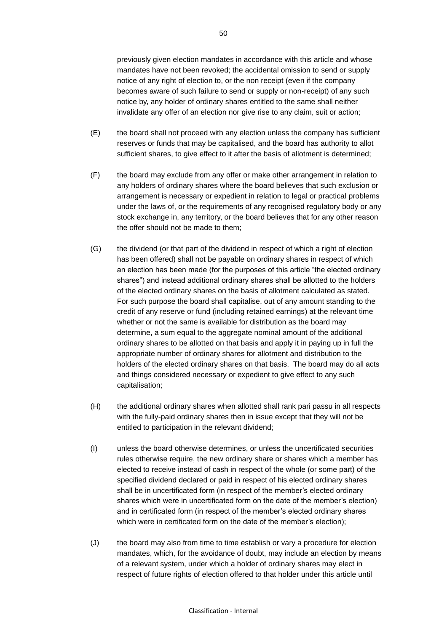previously given election mandates in accordance with this article and whose mandates have not been revoked; the accidental omission to send or supply notice of any right of election to, or the non receipt (even if the company becomes aware of such failure to send or supply or non-receipt) of any such notice by, any holder of ordinary shares entitled to the same shall neither invalidate any offer of an election nor give rise to any claim, suit or action;

- (E) the board shall not proceed with any election unless the company has sufficient reserves or funds that may be capitalised, and the board has authority to allot sufficient shares, to give effect to it after the basis of allotment is determined;
- (F) the board may exclude from any offer or make other arrangement in relation to any holders of ordinary shares where the board believes that such exclusion or arrangement is necessary or expedient in relation to legal or practical problems under the laws of, or the requirements of any recognised regulatory body or any stock exchange in, any territory, or the board believes that for any other reason the offer should not be made to them;
- (G) the dividend (or that part of the dividend in respect of which a right of election has been offered) shall not be payable on ordinary shares in respect of which an election has been made (for the purposes of this article "the elected ordinary shares") and instead additional ordinary shares shall be allotted to the holders of the elected ordinary shares on the basis of allotment calculated as stated. For such purpose the board shall capitalise, out of any amount standing to the credit of any reserve or fund (including retained earnings) at the relevant time whether or not the same is available for distribution as the board may determine, a sum equal to the aggregate nominal amount of the additional ordinary shares to be allotted on that basis and apply it in paying up in full the appropriate number of ordinary shares for allotment and distribution to the holders of the elected ordinary shares on that basis. The board may do all acts and things considered necessary or expedient to give effect to any such capitalisation;
- (H) the additional ordinary shares when allotted shall rank pari passu in all respects with the fully-paid ordinary shares then in issue except that they will not be entitled to participation in the relevant dividend;
- (I) unless the board otherwise determines, or unless the uncertificated securities rules otherwise require, the new ordinary share or shares which a member has elected to receive instead of cash in respect of the whole (or some part) of the specified dividend declared or paid in respect of his elected ordinary shares shall be in uncertificated form (in respect of the member's elected ordinary shares which were in uncertificated form on the date of the member's election) and in certificated form (in respect of the member's elected ordinary shares which were in certificated form on the date of the member's election);
- (J) the board may also from time to time establish or vary a procedure for election mandates, which, for the avoidance of doubt, may include an election by means of a relevant system, under which a holder of ordinary shares may elect in respect of future rights of election offered to that holder under this article until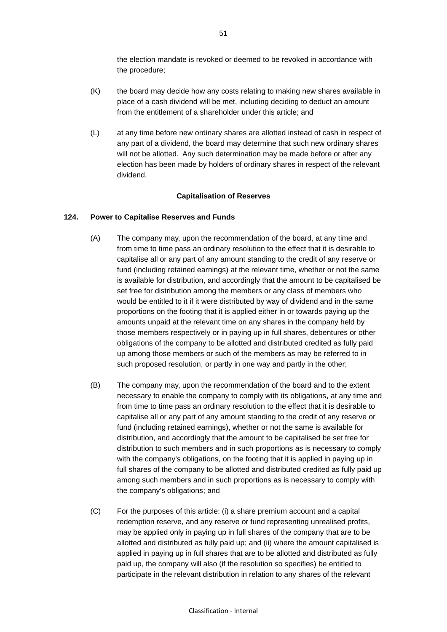the election mandate is revoked or deemed to be revoked in accordance with the procedure;

- (K) the board may decide how any costs relating to making new shares available in place of a cash dividend will be met, including deciding to deduct an amount from the entitlement of a shareholder under this article; and
- (L) at any time before new ordinary shares are allotted instead of cash in respect of any part of a dividend, the board may determine that such new ordinary shares will not be allotted. Any such determination may be made before or after any election has been made by holders of ordinary shares in respect of the relevant dividend.

#### **Capitalisation of Reserves**

#### **124. Power to Capitalise Reserves and Funds**

- (A) The company may, upon the recommendation of the board, at any time and from time to time pass an ordinary resolution to the effect that it is desirable to capitalise all or any part of any amount standing to the credit of any reserve or fund (including retained earnings) at the relevant time, whether or not the same is available for distribution, and accordingly that the amount to be capitalised be set free for distribution among the members or any class of members who would be entitled to it if it were distributed by way of dividend and in the same proportions on the footing that it is applied either in or towards paying up the amounts unpaid at the relevant time on any shares in the company held by those members respectively or in paying up in full shares, debentures or other obligations of the company to be allotted and distributed credited as fully paid up among those members or such of the members as may be referred to in such proposed resolution, or partly in one way and partly in the other;
- (B) The company may, upon the recommendation of the board and to the extent necessary to enable the company to comply with its obligations, at any time and from time to time pass an ordinary resolution to the effect that it is desirable to capitalise all or any part of any amount standing to the credit of any reserve or fund (including retained earnings), whether or not the same is available for distribution, and accordingly that the amount to be capitalised be set free for distribution to such members and in such proportions as is necessary to comply with the company's obligations, on the footing that it is applied in paying up in full shares of the company to be allotted and distributed credited as fully paid up among such members and in such proportions as is necessary to comply with the company's obligations; and
- (C) For the purposes of this article: (i) a share premium account and a capital redemption reserve, and any reserve or fund representing unrealised profits, may be applied only in paying up in full shares of the company that are to be allotted and distributed as fully paid up; and (ii) where the amount capitalised is applied in paying up in full shares that are to be allotted and distributed as fully paid up, the company will also (if the resolution so specifies) be entitled to participate in the relevant distribution in relation to any shares of the relevant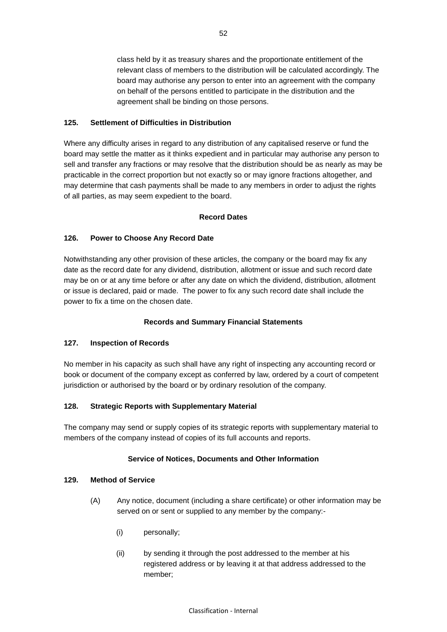class held by it as treasury shares and the proportionate entitlement of the relevant class of members to the distribution will be calculated accordingly. The board may authorise any person to enter into an agreement with the company on behalf of the persons entitled to participate in the distribution and the agreement shall be binding on those persons.

### **125. Settlement of Difficulties in Distribution**

Where any difficulty arises in regard to any distribution of any capitalised reserve or fund the board may settle the matter as it thinks expedient and in particular may authorise any person to sell and transfer any fractions or may resolve that the distribution should be as nearly as may be practicable in the correct proportion but not exactly so or may ignore fractions altogether, and may determine that cash payments shall be made to any members in order to adjust the rights of all parties, as may seem expedient to the board.

### **Record Dates**

### **126. Power to Choose Any Record Date**

Notwithstanding any other provision of these articles, the company or the board may fix any date as the record date for any dividend, distribution, allotment or issue and such record date may be on or at any time before or after any date on which the dividend, distribution, allotment or issue is declared, paid or made. The power to fix any such record date shall include the power to fix a time on the chosen date.

### **Records and Summary Financial Statements**

### **127. Inspection of Records**

No member in his capacity as such shall have any right of inspecting any accounting record or book or document of the company except as conferred by law, ordered by a court of competent jurisdiction or authorised by the board or by ordinary resolution of the company.

### **128. Strategic Reports with Supplementary Material**

The company may send or supply copies of its strategic reports with supplementary material to members of the company instead of copies of its full accounts and reports.

### **Service of Notices, Documents and Other Information**

### **129. Method of Service**

- (A) Any notice, document (including a share certificate) or other information may be served on or sent or supplied to any member by the company:-
	- (i) personally;
	- (ii) by sending it through the post addressed to the member at his registered address or by leaving it at that address addressed to the member;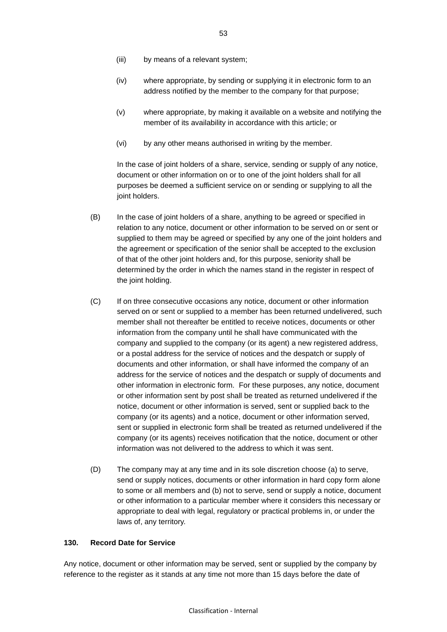- (iv) where appropriate, by sending or supplying it in electronic form to an address notified by the member to the company for that purpose;
- (v) where appropriate, by making it available on a website and notifying the member of its availability in accordance with this article; or
- (vi) by any other means authorised in writing by the member.

In the case of joint holders of a share, service, sending or supply of any notice, document or other information on or to one of the joint holders shall for all purposes be deemed a sufficient service on or sending or supplying to all the joint holders.

- (B) In the case of joint holders of a share, anything to be agreed or specified in relation to any notice, document or other information to be served on or sent or supplied to them may be agreed or specified by any one of the joint holders and the agreement or specification of the senior shall be accepted to the exclusion of that of the other joint holders and, for this purpose, seniority shall be determined by the order in which the names stand in the register in respect of the joint holding.
- (C) If on three consecutive occasions any notice, document or other information served on or sent or supplied to a member has been returned undelivered, such member shall not thereafter be entitled to receive notices, documents or other information from the company until he shall have communicated with the company and supplied to the company (or its agent) a new registered address, or a postal address for the service of notices and the despatch or supply of documents and other information, or shall have informed the company of an address for the service of notices and the despatch or supply of documents and other information in electronic form. For these purposes, any notice, document or other information sent by post shall be treated as returned undelivered if the notice, document or other information is served, sent or supplied back to the company (or its agents) and a notice, document or other information served, sent or supplied in electronic form shall be treated as returned undelivered if the company (or its agents) receives notification that the notice, document or other information was not delivered to the address to which it was sent.
- (D) The company may at any time and in its sole discretion choose (a) to serve, send or supply notices, documents or other information in hard copy form alone to some or all members and (b) not to serve, send or supply a notice, document or other information to a particular member where it considers this necessary or appropriate to deal with legal, regulatory or practical problems in, or under the laws of, any territory.

### **130. Record Date for Service**

Any notice, document or other information may be served, sent or supplied by the company by reference to the register as it stands at any time not more than 15 days before the date of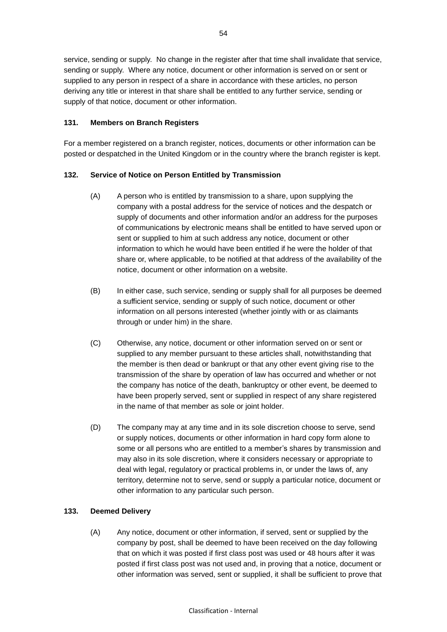service, sending or supply. No change in the register after that time shall invalidate that service, sending or supply. Where any notice, document or other information is served on or sent or supplied to any person in respect of a share in accordance with these articles, no person deriving any title or interest in that share shall be entitled to any further service, sending or supply of that notice, document or other information.

### **131. Members on Branch Registers**

For a member registered on a branch register, notices, documents or other information can be posted or despatched in the United Kingdom or in the country where the branch register is kept.

### **132. Service of Notice on Person Entitled by Transmission**

- (A) A person who is entitled by transmission to a share, upon supplying the company with a postal address for the service of notices and the despatch or supply of documents and other information and/or an address for the purposes of communications by electronic means shall be entitled to have served upon or sent or supplied to him at such address any notice, document or other information to which he would have been entitled if he were the holder of that share or, where applicable, to be notified at that address of the availability of the notice, document or other information on a website.
- (B) In either case, such service, sending or supply shall for all purposes be deemed a sufficient service, sending or supply of such notice, document or other information on all persons interested (whether jointly with or as claimants through or under him) in the share.
- (C) Otherwise, any notice, document or other information served on or sent or supplied to any member pursuant to these articles shall, notwithstanding that the member is then dead or bankrupt or that any other event giving rise to the transmission of the share by operation of law has occurred and whether or not the company has notice of the death, bankruptcy or other event, be deemed to have been properly served, sent or supplied in respect of any share registered in the name of that member as sole or joint holder.
- (D) The company may at any time and in its sole discretion choose to serve, send or supply notices, documents or other information in hard copy form alone to some or all persons who are entitled to a member's shares by transmission and may also in its sole discretion, where it considers necessary or appropriate to deal with legal, regulatory or practical problems in, or under the laws of, any territory, determine not to serve, send or supply a particular notice, document or other information to any particular such person.

## **133. Deemed Delivery**

(A) Any notice, document or other information, if served, sent or supplied by the company by post, shall be deemed to have been received on the day following that on which it was posted if first class post was used or 48 hours after it was posted if first class post was not used and, in proving that a notice, document or other information was served, sent or supplied, it shall be sufficient to prove that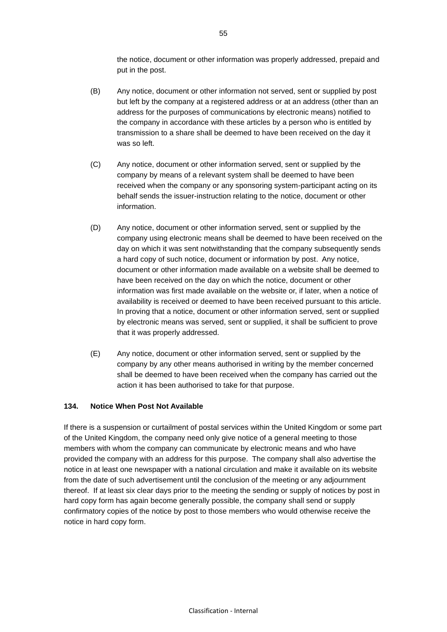the notice, document or other information was properly addressed, prepaid and put in the post.

- (B) Any notice, document or other information not served, sent or supplied by post but left by the company at a registered address or at an address (other than an address for the purposes of communications by electronic means) notified to the company in accordance with these articles by a person who is entitled by transmission to a share shall be deemed to have been received on the day it was so left.
- (C) Any notice, document or other information served, sent or supplied by the company by means of a relevant system shall be deemed to have been received when the company or any sponsoring system-participant acting on its behalf sends the issuer-instruction relating to the notice, document or other information.
- (D) Any notice, document or other information served, sent or supplied by the company using electronic means shall be deemed to have been received on the day on which it was sent notwithstanding that the company subsequently sends a hard copy of such notice, document or information by post. Any notice, document or other information made available on a website shall be deemed to have been received on the day on which the notice, document or other information was first made available on the website or, if later, when a notice of availability is received or deemed to have been received pursuant to this article. In proving that a notice, document or other information served, sent or supplied by electronic means was served, sent or supplied, it shall be sufficient to prove that it was properly addressed.
- (E) Any notice, document or other information served, sent or supplied by the company by any other means authorised in writing by the member concerned shall be deemed to have been received when the company has carried out the action it has been authorised to take for that purpose.

### **134. Notice When Post Not Available**

If there is a suspension or curtailment of postal services within the United Kingdom or some part of the United Kingdom, the company need only give notice of a general meeting to those members with whom the company can communicate by electronic means and who have provided the company with an address for this purpose. The company shall also advertise the notice in at least one newspaper with a national circulation and make it available on its website from the date of such advertisement until the conclusion of the meeting or any adjournment thereof. If at least six clear days prior to the meeting the sending or supply of notices by post in hard copy form has again become generally possible, the company shall send or supply confirmatory copies of the notice by post to those members who would otherwise receive the notice in hard copy form.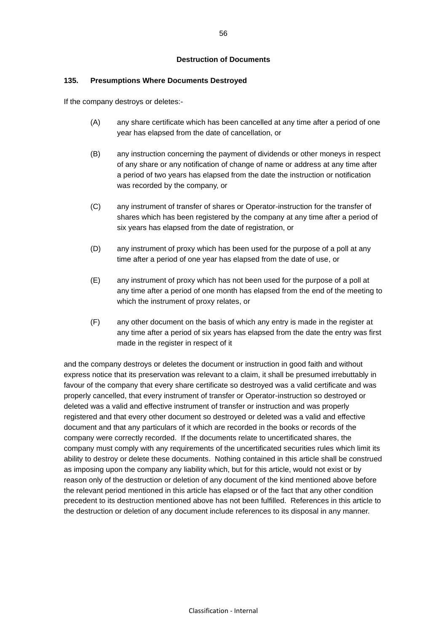#### **Destruction of Documents**

#### **135. Presumptions Where Documents Destroyed**

If the company destroys or deletes:-

- (A) any share certificate which has been cancelled at any time after a period of one year has elapsed from the date of cancellation, or
- (B) any instruction concerning the payment of dividends or other moneys in respect of any share or any notification of change of name or address at any time after a period of two years has elapsed from the date the instruction or notification was recorded by the company, or
- (C) any instrument of transfer of shares or Operator-instruction for the transfer of shares which has been registered by the company at any time after a period of six years has elapsed from the date of registration, or
- (D) any instrument of proxy which has been used for the purpose of a poll at any time after a period of one year has elapsed from the date of use, or
- (E) any instrument of proxy which has not been used for the purpose of a poll at any time after a period of one month has elapsed from the end of the meeting to which the instrument of proxy relates, or
- (F) any other document on the basis of which any entry is made in the register at any time after a period of six years has elapsed from the date the entry was first made in the register in respect of it

and the company destroys or deletes the document or instruction in good faith and without express notice that its preservation was relevant to a claim, it shall be presumed irrebuttably in favour of the company that every share certificate so destroyed was a valid certificate and was properly cancelled, that every instrument of transfer or Operator-instruction so destroyed or deleted was a valid and effective instrument of transfer or instruction and was properly registered and that every other document so destroyed or deleted was a valid and effective document and that any particulars of it which are recorded in the books or records of the company were correctly recorded. If the documents relate to uncertificated shares, the company must comply with any requirements of the uncertificated securities rules which limit its ability to destroy or delete these documents. Nothing contained in this article shall be construed as imposing upon the company any liability which, but for this article, would not exist or by reason only of the destruction or deletion of any document of the kind mentioned above before the relevant period mentioned in this article has elapsed or of the fact that any other condition precedent to its destruction mentioned above has not been fulfilled. References in this article to the destruction or deletion of any document include references to its disposal in any manner.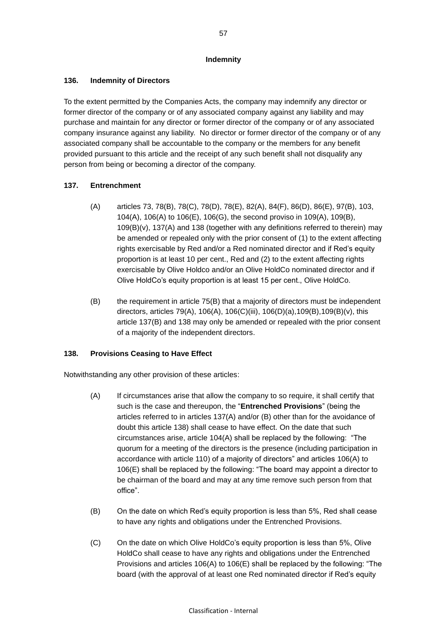#### **Indemnity**

### **136. Indemnity of Directors**

To the extent permitted by the Companies Acts, the company may indemnify any director or former director of the company or of any associated company against any liability and may purchase and maintain for any director or former director of the company or of any associated company insurance against any liability. No director or former director of the company or of any associated company shall be accountable to the company or the members for any benefit provided pursuant to this article and the receipt of any such benefit shall not disqualify any person from being or becoming a director of the company.

## <span id="page-63-0"></span>**137. Entrenchment**

- (A) articles [73,](#page-32-0) [78\(B\),](#page-33-1) [78\(C\),](#page-33-2) [78\(D\),](#page-34-5) [78\(E\),](#page-34-6) [82\(A\),](#page-35-1) [84\(F\),](#page-36-0) [86\(D\),](#page-37-1) [86\(E\),](#page-37-2) [97\(B\),](#page-44-0) [103,](#page-46-1) [104\(A\),](#page-46-2) [106\(A\)](#page-47-1) to [106\(E\),](#page-48-2) [106\(G\),](#page-49-2) the second proviso in [109\(A\),](#page-49-0) [109\(B\),](#page-49-3) [109\(B\)\(v\),](#page-50-4) [137\(A\)](#page-63-0) and [138](#page-63-1) (together with any definitions referred to therein) may be amended or repealed only with the prior consent of (1) to the extent affecting rights exercisable by Red and/or a Red nominated director and if Red's equity proportion is at least 10 per cent., Red and (2) to the extent affecting rights exercisable by Olive Holdco and/or an Olive HoldCo nominated director and if Olive HoldCo's equity proportion is at least 15 per cent., Olive HoldCo.
- (B) the requirement in article 75(B) that a majority of directors must be independent directors, articles [79\(A\),](#page-34-4) [106\(A\),](#page-47-1) [106\(C\)\(iii\),](#page-48-1) [106\(D\)\(a\)](#page-48-3)[,109\(B\)](#page-49-3)[,109\(B\)\(v\),](#page-50-4) this article 137(B) and [138](#page-63-1) may only be amended or repealed with the prior consent of a majority of the independent directors.

## <span id="page-63-1"></span>**138. Provisions Ceasing to Have Effect**

Notwithstanding any other provision of these articles:

- (A) If circumstances arise that allow the company to so require, it shall certify that such is the case and thereupon, the "**Entrenched Provisions**" (being the articles referred to in articles 137(A) and/or (B) other than for the avoidance of doubt this article 138) shall cease to have effect. On the date that such circumstances arise, article [104\(A\)](#page-46-2) shall be replaced by the following: "The quorum for a meeting of the directors is the presence (including participation in accordance with article [110\)](#page-50-5) of a majority of directors" and articles [106\(A\)](#page-47-1) to [106\(E\)](#page-48-2) shall be replaced by the following: "The board may appoint a director to be chairman of the board and may at any time remove such person from that office".
- (B) On the date on which Red's equity proportion is less than 5%, Red shall cease to have any rights and obligations under the Entrenched Provisions.
- (C) On the date on which Olive HoldCo's equity proportion is less than 5%, Olive HoldCo shall cease to have any rights and obligations under the Entrenched Provisions and articles [106\(A\)](#page-47-1) to [106\(E\)](#page-48-2) shall be replaced by the following: "The board (with the approval of at least one Red nominated director if Red's equity